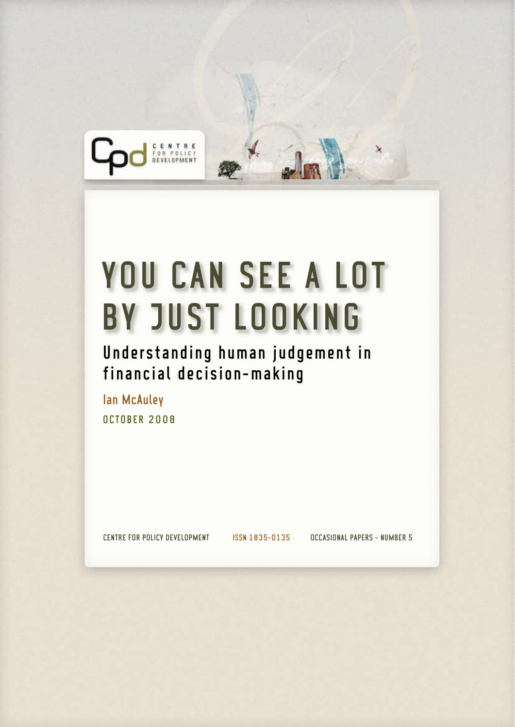

# YOU CAN SEE A LOT by just looking

Understanding human judgement in financial decision-making

Ian McAuley **OCTOBER 2008** 

CENTRE FOR POLICY DEVELOPMENT ISSN 1835-0135 OCCASIONAL PAPERS - NUMBER 5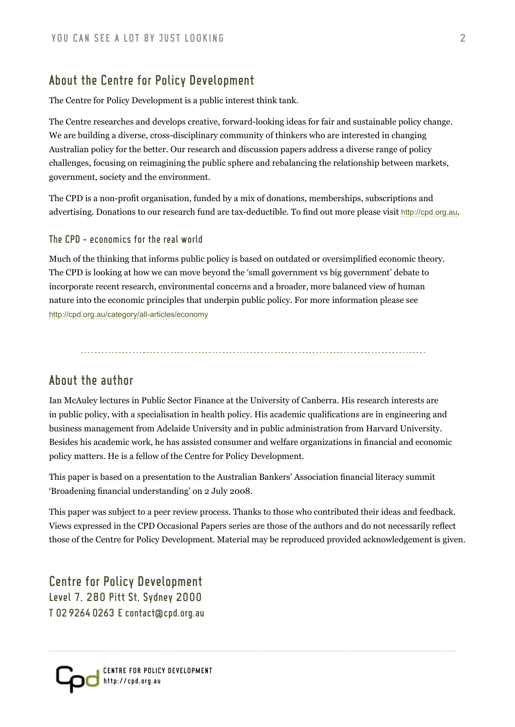# About the Centre for Policy Development

The Centre for Policy Development is a public interest think tank.

The Centre researches and develops creative, forward-looking ideas for fair and sustainable policy change. We are building a diverse, cross-disciplinary community of thinkers who are interested in changing Australian policy for the better. Our research and discussion papers address a diverse range of policy challenges, focusing on reimagining the public sphere and rebalancing the relationship between markets, government, society and the environment.

The CPD is a non-profit organisation, funded by a mix of donations, memberships, subscriptions and advertising. Donations to our research fund are tax-deductible. To find out more please visit <http://cpd.org.au>.

The CPD - economics for the real world

Much of the thinking that informs public policy is based on outdated or oversimplified economic theory. The CPD is looking at how we can move beyond the 'small government vs big government' debate to incorporate recent research, environmental concerns and a broader, more balanced view of human nature into the economic principles that underpin public policy. For more information please see <http://cpd.org.au/category/all-articles/economy>

## About the author

Ian McAuley lectures in Public Sector Finance at the University of Canberra. His research interests are in public policy, with a specialisation in health policy. His academic qualifications are in engineering and business management from Adelaide University and in public administration from Harvard University. Besides his academic work, he has assisted consumer and welfare organizations in financial and economic policy matters. He is a fellow of the Centre for Policy Development.

This paper is based on a presentation to the Australian Bankers' Association financial literacy summit 'Broadening financial understanding' on 2 July 2008.

This paper was subject to a peer review process. Thanks to those who contributed their ideas and feedback. Views expressed in the CPD Occasional Papers series are those of the authors and do not necessarily reflect those of the Centre for Policy Development. Material may be reproduced provided acknowledgement is given.

Centre for Policy Development Level 7, 280 Pitt St, Sydney 2000 T 02 9264 0263 E contact@cpd.org.au

Centre For Policy Development http://cpd.org.au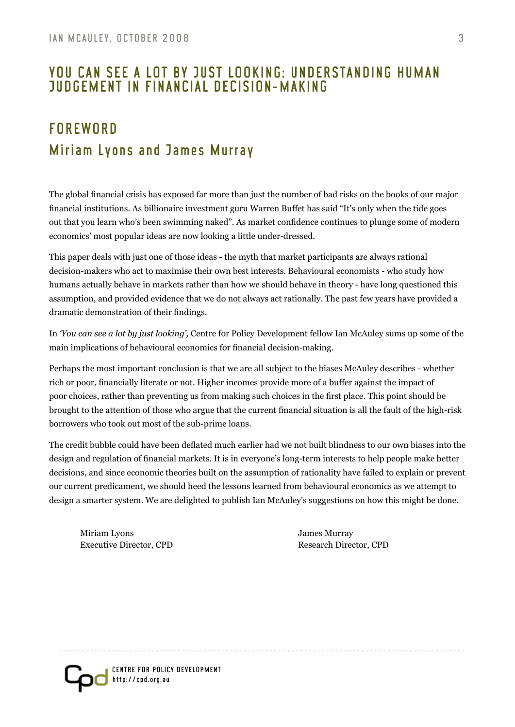# you can see a lot by just looking: Understanding human judgement in financial decision-making

# **FORFWORD** Miriam Lyons and James Murray

The global financial crisis has exposed far more than just the number of bad risks on the books of our major financial institutions. As billionaire investment guru Warren Buffet has said "It's only when the tide goes out that you learn who's been swimming naked". As market confidence continues to plunge some of modern economics' most popular ideas are now looking a little under-dressed.

This paper deals with just one of those ideas - the myth that market participants are always rational decision-makers who act to maximise their own best interests. Behavioural economists - who study how humans actually behave in markets rather than how we should behave in theory - have long questioned this assumption, and provided evidence that we do not always act rationally. The past few years have provided a dramatic demonstration of their findings.

In *'You can see a lot by just looking',* Centre for Policy Development fellow Ian McAuley sums up some of the main implications of behavioural economics for financial decision-making.

Perhaps the most important conclusion is that we are all subject to the biases McAuley describes - whether rich or poor, financially literate or not. Higher incomes provide more of a buffer against the impact of poor choices, rather than preventing us from making such choices in the first place. This point should be brought to the attention of those who argue that the current financial situation is all the fault of the high-risk borrowers who took out most of the sub-prime loans.

The credit bubble could have been deflated much earlier had we not built blindness to our own biases into the design and regulation of financial markets. It is in everyone's long-term interests to help people make better decisions, and since economic theories built on the assumption of rationality have failed to explain or prevent our current predicament, we should heed the lessons learned from behavioural economics as we attempt to design a smarter system. We are delighted to publish Ian McAuley's suggestions on how this might be done.

Miriam Lyons James Murray Executive Director, CPD Research Director, CPD

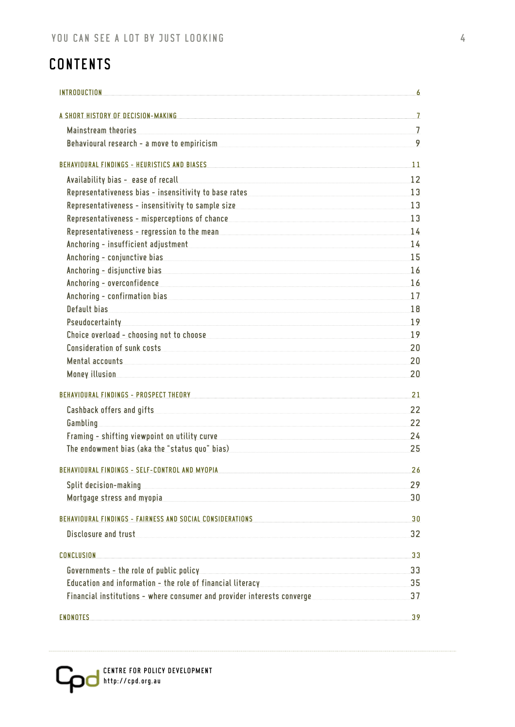# **CONTENTS**

| <b>INTRODUCTION</b>                                                                                                                                                                                                                          | 6.             |
|----------------------------------------------------------------------------------------------------------------------------------------------------------------------------------------------------------------------------------------------|----------------|
| A SHORT HISTORY OF DECISION-MAKING <b>A SHORT WAS ARRESTED FOR A SHORT HISTORY OF DECISION-MAKING</b>                                                                                                                                        |                |
| Mainstream theories                                                                                                                                                                                                                          | $\overline{7}$ |
| Behavioural research - a move to empiricism and the contract of the contract of the season of the season of the                                                                                                                              | 9              |
| BEHAVIOURAL FINDINGS - HEURISTICS AND BIASES AND RESIDENCE AND RELEASED AND RELEASED AND RELEASED AND RELEASED AND RELEASED AND RELEASED AND RELEASED AND RELEASED AND RELEASED AND RELEASED AND RELEASED AND RELEASED AND REL               | 11             |
| Availability bias - ease of recall                                                                                                                                                                                                           | 12             |
| Representativeness bias - insensitivity to base rates <b>Andrew Manual According to the Control</b> of Representation of                                                                                                                     | 13             |
| Representativeness - insensitivity to sample size <b>Analyzing School Commonwealth Commonwealth</b>                                                                                                                                          | 13             |
| Representativeness - misperceptions of chance<br>expansion and the contract of chance<br>in the contract of chance<br>in the contract of chance<br>in the contract of chance<br>in the contract of chance<br>in the contract of chance<br>in | 13             |
| Representativeness - regression to the mean determination of the mean and the mean of the mean of the mean of the mean of the mean of the mean of the mean of the mean of the mean of the mean of the mean of the mean of the                | 14             |
| Anchoring - insufficient adjustment the contract of the contract of the contract of the contract of the contract of the contract of the contract of the contract of the contract of the contract of the contract of the contra               | 14             |
| Anchoring - conjunctive bias and a state of the state of the state of the state of the state of the state of the                                                                                                                             | 15             |
| Anchoring - disjunctive bias and the state of the state of the state of the state of the state of the state of                                                                                                                               | 16             |
| Anchoring - overconfidence                                                                                                                                                                                                                   | 16             |
| Anchoring – confirmation bias and a state of the contract of the contract of the contract of the contract of the contract of the contract of the contract of the contract of the contract of the contract of the contract of t               | 17             |
| Default bias                                                                                                                                                                                                                                 | 18             |
| Pseudocertainty                                                                                                                                                                                                                              | 19             |
| Choice overload - choosing not to choose and the control of the control of the control of the control of the control of the control of the control of the control of the control of the control of the control of the control                | 19             |
| Consideration of sunk costs                                                                                                                                                                                                                  | 20             |
| Mental accounts and accounts and accounts and accounts are accounted as a series of the series of the series of the series of the series of the series of the series of the series of the series of the series of the series o               | 20             |
| <b>Money illusion</b>                                                                                                                                                                                                                        | 20             |
| BEHAVIOURAL FINDINGS - PROSPECT THEORY <b>And the Community of the Community Community Community</b> Community Communi                                                                                                                       | 21             |
| Cashback offers and gifts <b>the contract of the contract of the contract of the contract of the contract of the contract of the contract of the contract of the contract of the contract of the contract of the contract of the</b>         | 22             |
| Gambling                                                                                                                                                                                                                                     | 22             |
| Framing - shifting viewpoint on utility curve<br>Framing - shifting viewpoint on utility curve                                                                                                                                               | 24             |
| The endowment bias (aka the "status quo" bias)                                                                                                                                                                                               | 25             |
|                                                                                                                                                                                                                                              |                |
| BEHAVIOURAL FINDINGS - SELF-CONTROL AND MYOPIA                                                                                                                                                                                               | 26             |
| Split decision-making                                                                                                                                                                                                                        | 29             |
| Mortgage stress and myopia                                                                                                                                                                                                                   | 30             |
| BEHAVIOURAL FINDINGS - FAIRNESS AND SOCIAL CONSIDERATIONS And the contract of the construction of the constant of the constant of the constant of the constant of the constant of the constant of the constant of the constant               | 30             |
| Disclosure and trust the contract of the contract of the contract of the contract of the contract of the contract of the contract of the contract of the contract of the contract of the contract of the contract of the contr               | 32             |
| CONCLUSION                                                                                                                                                                                                                                   | 33             |
| Governments - the role of public policy                                                                                                                                                                                                      | 33             |
| Education and information - the role of financial literacy manuscription and information                                                                                                                                                     | 35             |
| Financial institutions – where consumer and provider interests converge                                                                                                                                                                      | 37             |
| <b>ENDNOTES</b>                                                                                                                                                                                                                              | 39             |

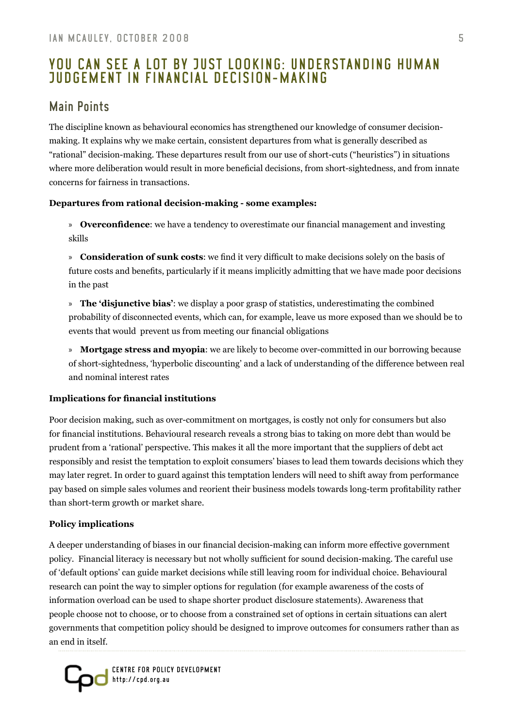# you can see a lot by just looking: Understanding human judgement in financial decision-making

# Main Points

The discipline known as behavioural economics has strengthened our knowledge of consumer decisionmaking. It explains why we make certain, consistent departures from what is generally described as "rational" decision-making. These departures result from our use of short-cuts ("heuristics") in situations where more deliberation would result in more beneficial decisions, from short-sightedness, and from innate concerns for fairness in transactions.

#### **Departures from rational decision-making - some examples:**

**Overconfidence**: we have a tendency to overestimate our financial management and investing » skills

**Consideration of sunk costs**: we find it very difficult to make decisions solely on the basis of » future costs and benefits, particularly if it means implicitly admitting that we have made poor decisions in the past

**The 'disjunctive bias'**: we display a poor grasp of statistics, underestimating the combined » probability of disconnected events, which can, for example, leave us more exposed than we should be to events that would prevent us from meeting our financial obligations

**Mortgage stress and myopia**: we are likely to become over-committed in our borrowing because »of short-sightedness, 'hyperbolic discounting' and a lack of understanding of the difference between real and nominal interest rates

#### **Implications for financial institutions**

Poor decision making, such as over-commitment on mortgages, is costly not only for consumers but also for financial institutions. Behavioural research reveals a strong bias to taking on more debt than would be prudent from a 'rational' perspective. This makes it all the more important that the suppliers of debt act responsibly and resist the temptation to exploit consumers' biases to lead them towards decisions which they may later regret. In order to guard against this temptation lenders will need to shift away from performance pay based on simple sales volumes and reorient their business models towards long-term profitability rather than short-term growth or market share.

#### **Policy implications**

A deeper understanding of biases in our financial decision-making can inform more effective government policy. Financial literacy is necessary but not wholly sufficient for sound decision-making. The careful use of 'default options' can guide market decisions while still leaving room for individual choice. Behavioural research can point the way to simpler options for regulation (for example awareness of the costs of information overload can be used to shape shorter product disclosure statements). Awareness that people choose not to choose, or to choose from a constrained set of options in certain situations can alert governments that competition policy should be designed to improve outcomes for consumers rather than as an end in itself.

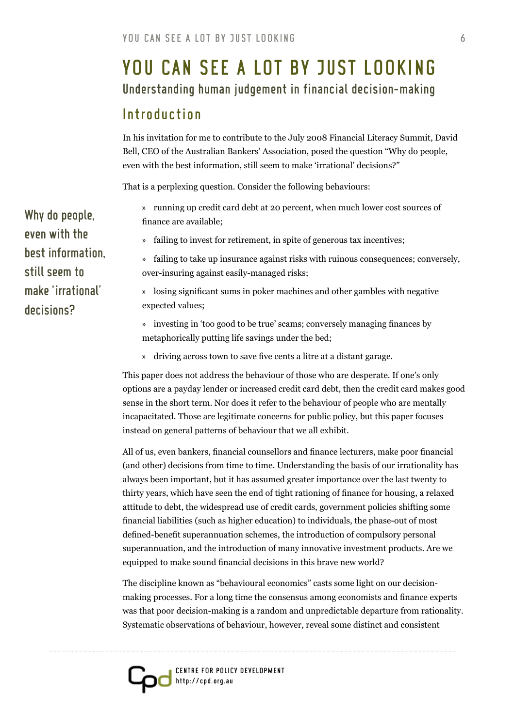# <span id="page-5-0"></span>Understanding human judgement in financial decision-making you can see a lot by just looking

# Introduction

In his invitation for me to contribute to the July 2008 Financial Literacy Summit, David Bell, CEO of the Australian Bankers' Association, posed the question "Why do people, even with the best information, still seem to make 'irrational' decisions?"

That is a perplexing question. Consider the following behaviours:

- running up credit card debt at 20 percent, when much lower cost sources of » finance are available;
- failing to invest for retirement, in spite of generous tax incentives; »

failing to take up insurance against risks with ruinous consequences; conversely, » over-insuring against easily-managed risks;

losing significant sums in poker machines and other gambles with negative » expected values;

investing in 'too good to be true' scams; conversely managing finances by » metaphorically putting life savings under the bed;

driving across town to save five cents a litre at a distant garage. »

This paper does not address the behaviour of those who are desperate. If one's only options are a payday lender or increased credit card debt, then the credit card makes good sense in the short term. Nor does it refer to the behaviour of people who are mentally incapacitated. Those are legitimate concerns for public policy, but this paper focuses instead on general patterns of behaviour that we all exhibit.

All of us, even bankers, financial counsellors and finance lecturers, make poor financial (and other) decisions from time to time. Understanding the basis of our irrationality has always been important, but it has assumed greater importance over the last twenty to thirty years, which have seen the end of tight rationing of finance for housing, a relaxed attitude to debt, the widespread use of credit cards, government policies shifting some financial liabilities (such as higher education) to individuals, the phase-out of most defined-benefit superannuation schemes, the introduction of compulsory personal superannuation, and the introduction of many innovative investment products. Are we equipped to make sound financial decisions in this brave new world?

The discipline known as "behavioural economics" casts some light on our decisionmaking processes. For a long time the consensus among economists and finance experts was that poor decision-making is a random and unpredictable departure from rationality. Systematic observations of behaviour, however, reveal some distinct and consistent

Why do people, even with the best information, still seem to make 'irrational' decisions?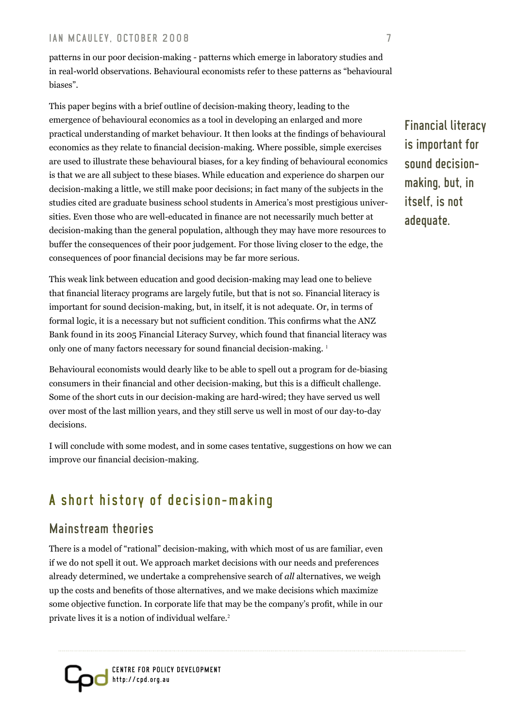patterns in our poor decision-making - patterns which emerge in laboratory studies and in real-world observations. Behavioural economists refer to these patterns as "behavioural biases".

This paper begins with a brief outline of decision-making theory, leading to the emergence of behavioural economics as a tool in developing an enlarged and more practical understanding of market behaviour. It then looks at the findings of behavioural economics as they relate to financial decision-making. Where possible, simple exercises are used to illustrate these behavioural biases, for a key finding of behavioural economics is that we are all subject to these biases. While education and experience do sharpen our decision-making a little, we still make poor decisions; in fact many of the subjects in the studies cited are graduate business school students in America's most prestigious universities. Even those who are well-educated in finance are not necessarily much better at decision-making than the general population, although they may have more resources to buffer the consequences of their poor judgement. For those living closer to the edge, the consequences of poor financial decisions may be far more serious.

This weak link between education and good decision-making may lead one to believe that financial literacy programs are largely futile, but that is not so. Financial literacy is important for sound decision-making, but, in itself, it is not adequate. Or, in terms of formal logic, it is a necessary but not sufficient condition. This confirms what the ANZ Bank found in its 2005 Financial Literacy Survey, which found that financial literacy was only one of many factors necessary for sound financial decision-making. <sup>1</sup>

Behavioural economists would dearly like to be able to spell out a program for de-biasing consumers in their financial and other decision-making, but this is a difficult challenge. Some of the short cuts in our decision-making are hard-wired; they have served us well over most of the last million years, and they still serve us well in most of our day-to-day decisions.

I will conclude with some modest, and in some cases tentative, suggestions on how we can improve our financial decision-making.

# A short history of decision-making

# Mainstream theories

There is a model of "rational" decision-making, with which most of us are familiar, even if we do not spell it out. We approach market decisions with our needs and preferences already determined, we undertake a comprehensive search of *all* alternatives, we weigh up the costs and benefits of those alternatives, and we make decisions which maximize some objective function. In corporate life that may be the company's profit, while in our private lives it is a notion of individual welfare.<sup>2</sup>



Financial literacy is important for sound decisionmaking, but, in itself, is not adequate.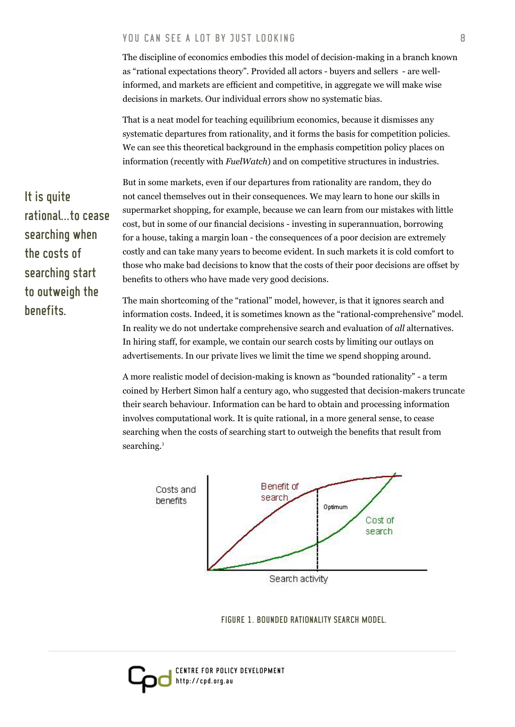The discipline of economics embodies this model of decision-making in a branch known as "rational expectations theory". Provided all actors - buyers and sellers - are wellinformed, and markets are efficient and competitive, in aggregate we will make wise decisions in markets. Our individual errors show no systematic bias.

That is a neat model for teaching equilibrium economics, because it dismisses any systematic departures from rationality, and it forms the basis for competition policies. We can see this theoretical background in the emphasis competition policy places on information (recently with *FuelWatch*) and on competitive structures in industries.

But in some markets, even if our departures from rationality are random, they do not cancel themselves out in their consequences. We may learn to hone our skills in supermarket shopping, for example, because we can learn from our mistakes with little cost, but in some of our financial decisions - investing in superannuation, borrowing for a house, taking a margin loan - the consequences of a poor decision are extremely costly and can take many years to become evident. In such markets it is cold comfort to those who make bad decisions to know that the costs of their poor decisions are offset by benefits to others who have made very good decisions.

The main shortcoming of the "rational" model, however, is that it ignores search and information costs. Indeed, it is sometimes known as the "rational-comprehensive" model. In reality we do not undertake comprehensive search and evaluation of *all* alternatives. In hiring staff, for example, we contain our search costs by limiting our outlays on advertisements. In our private lives we limit the time we spend shopping around.

A more realistic model of decision-making is known as "bounded rationality" - a term coined by Herbert Simon half a century ago, who suggested that decision-makers truncate their search behaviour. Information can be hard to obtain and processing information involves computational work. It is quite rational, in a more general sense, to cease searching when the costs of searching start to outweigh the benefits that result from searching.<sup>3</sup>



FIGURE 1. BOUNDED RATIONALITY SEARCH MODEL.

Centre For Policy Development http://cpd.org.au

It is quite rational...to cease searching when the costs of searching start to outweigh the benefits.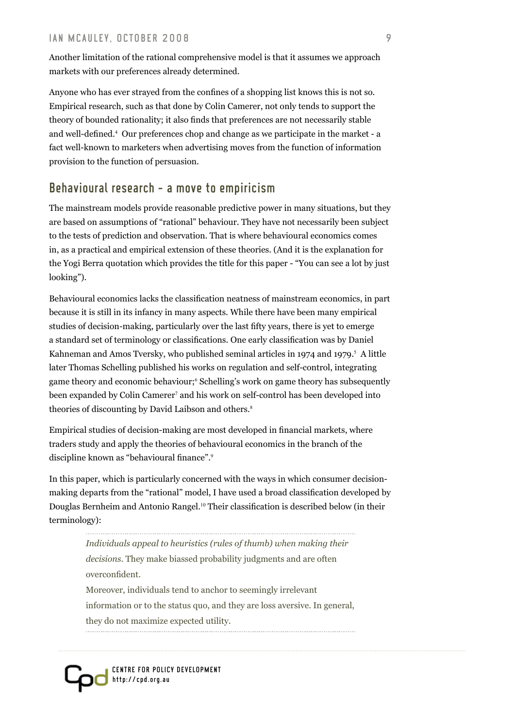Another limitation of the rational comprehensive model is that it assumes we approach markets with our preferences already determined.

Anyone who has ever strayed from the confines of a shopping list knows this is not so. Empirical research, such as that done by Colin Camerer, not only tends to support the theory of bounded rationality; it also finds that preferences are not necessarily stable and well-defined.<sup>4</sup> Our preferences chop and change as we participate in the market - a fact well-known to marketers when advertising moves from the function of information provision to the function of persuasion.

# Behavioural research - a move to empiricism

The mainstream models provide reasonable predictive power in many situations, but they are based on assumptions of "rational" behaviour. They have not necessarily been subject to the tests of prediction and observation. That is where behavioural economics comes in, as a practical and empirical extension of these theories. (And it is the explanation for the Yogi Berra quotation which provides the title for this paper - "You can see a lot by just looking").

Behavioural economics lacks the classification neatness of mainstream economics, in part because it is still in its infancy in many aspects. While there have been many empirical studies of decision-making, particularly over the last fifty years, there is yet to emerge a standard set of terminology or classifications. One early classification was by Daniel Kahneman and Amos Tversky, who published seminal articles in 1974 and 1979. $^5$  A little later Thomas Schelling published his works on regulation and self-control, integrating game theory and economic behaviour;<sup>6</sup> Schelling's work on game theory has subsequently been expanded by Colin Camerer<sup>7</sup> and his work on self-control has been developed into theories of discounting by David Laibson and others.<sup>8</sup>

Empirical studies of decision-making are most developed in financial markets, where traders study and apply the theories of behavioural economics in the branch of the discipline known as "behavioural finance".<sup>9</sup>

In this paper, which is particularly concerned with the ways in which consumer decisionmaking departs from the "rational" model, I have used a broad classification developed by Douglas Bernheim and Antonio Rangel.10 Their classification is described below (in their terminology):

> *Individuals appeal to heuristics (rules of thumb) when making their decisions.* They make biassed probability judgments and are often overconfident. Moreover, individuals tend to anchor to seemingly irrelevant information or to the status quo, and they are loss aversive. In general, they do not maximize expected utility.

Centre For Policy Development http://cpd.org.au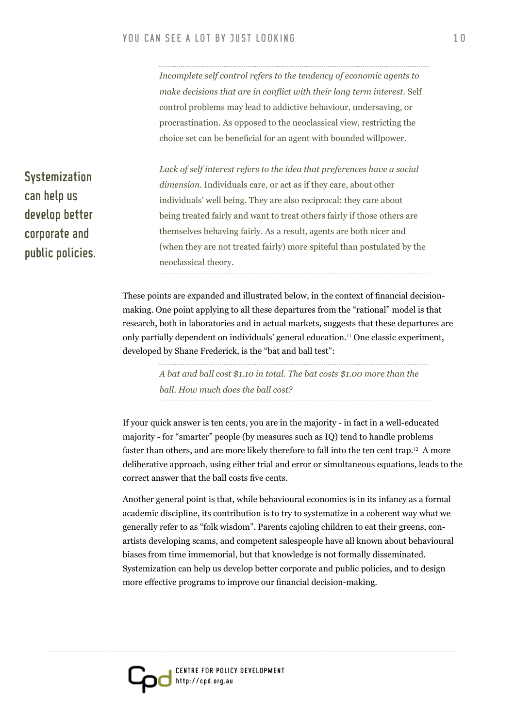*Incomplete self control refers to the tendency of economic agents to make decisions that are in conflict with their long term interest.* Self control problems may lead to addictive behaviour, undersaving, or procrastination. As opposed to the neoclassical view, restricting the choice set can be beneficial for an agent with bounded willpower.

*Lack of self interest refers to the idea that preferences have a social dimension.* Individuals care, or act as if they care, about other individuals' well being. They are also reciprocal: they care about being treated fairly and want to treat others fairly if those others are themselves behaving fairly. As a result, agents are both nicer and (when they are not treated fairly) more spiteful than postulated by the neoclassical theory.

These points are expanded and illustrated below, in the context of financial decisionmaking. One point applying to all these departures from the "rational" model is that research, both in laboratories and in actual markets, suggests that these departures are only partially dependent on individuals' general education.11 One classic experiment, developed by Shane Frederick, is the "bat and ball test":

> *A bat and ball cost \$1.10 in total. The bat costs \$1.00 more than the ball. How much does the ball cost?*

If your quick answer is ten cents, you are in the majority - in fact in a well-educated majority - for "smarter" people (by measures such as IQ) tend to handle problems faster than others, and are more likely therefore to fall into the ten cent trap.12 A more deliberative approach, using either trial and error or simultaneous equations, leads to the correct answer that the ball costs five cents.

Another general point is that, while behavioural economics is in its infancy as a formal academic discipline, its contribution is to try to systematize in a coherent way what we generally refer to as "folk wisdom". Parents cajoling children to eat their greens, conartists developing scams, and competent salespeople have all known about behavioural biases from time immemorial, but that knowledge is not formally disseminated. Systemization can help us develop better corporate and public policies, and to design more effective programs to improve our financial decision-making.

Systemization can help us develop better corporate and public policies.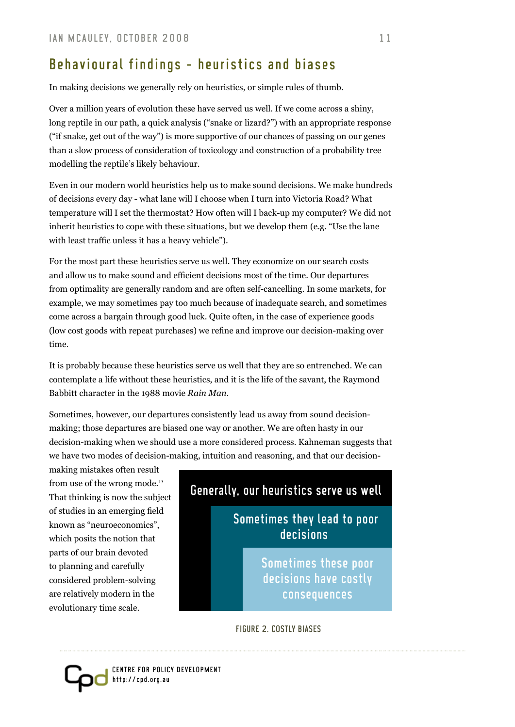# Behavioural findings - heuristics and biases

In making decisions we generally rely on heuristics, or simple rules of thumb.

Over a million years of evolution these have served us well. If we come across a shiny, long reptile in our path, a quick analysis ("snake or lizard?") with an appropriate response ("if snake, get out of the way") is more supportive of our chances of passing on our genes than a slow process of consideration of toxicology and construction of a probability tree modelling the reptile's likely behaviour.

Even in our modern world heuristics help us to make sound decisions. We make hundreds of decisions every day - what lane will I choose when I turn into Victoria Road? What temperature will I set the thermostat? How often will I back-up my computer? We did not inherit heuristics to cope with these situations, but we develop them (e.g. "Use the lane with least traffic unless it has a heavy vehicle").

For the most part these heuristics serve us well. They economize on our search costs and allow us to make sound and efficient decisions most of the time. Our departures from optimality are generally random and are often self-cancelling. In some markets, for example, we may sometimes pay too much because of inadequate search, and sometimes come across a bargain through good luck. Quite often, in the case of experience goods (low cost goods with repeat purchases) we refine and improve our decision-making over time.

It is probably because these heuristics serve us well that they are so entrenched. We can contemplate a life without these heuristics, and it is the life of the savant, the Raymond Babbitt character in the 1988 movie *Rain Man*.

Sometimes, however, our departures consistently lead us away from sound decisionmaking; those departures are biased one way or another. We are often hasty in our decision-making when we should use a more considered process. Kahneman suggests that we have two modes of decision-making, intuition and reasoning, and that our decision-

making mistakes often result from use of the wrong mode.<sup>13</sup> That thinking is now the subject of studies in an emerging field known as "neuroeconomics", which posits the notion that parts of our brain devoted to planning and carefully considered problem-solving are relatively modern in the evolutionary time scale.

# Generally, our heuristics serve us well Sometimes they lead to poor decisions Sometimes these poor decisions have costly consequences

Figure 2. Costly Biases

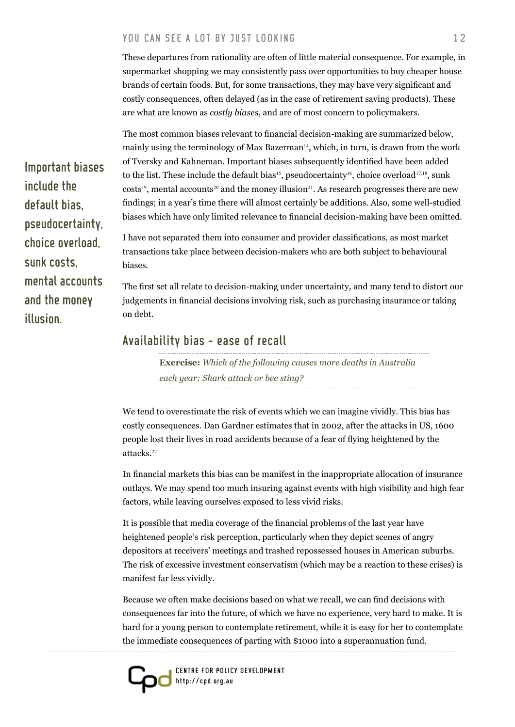These departures from rationality are often of little material consequence. For example, in supermarket shopping we may consistently pass over opportunities to buy cheaper house brands of certain foods. But, for some transactions, they may have very significant and costly consequences, often delayed (as in the case of retirement saving products). These are what are known as *costly biases*, and are of most concern to policymakers.

The most common biases relevant to financial decision-making are summarized below, mainly using the terminology of Max Bazerman<sup>14</sup>, which, in turn, is drawn from the work of Tversky and Kahneman. Important biases subsequently identified have been added to the list. These include the default bias<sup>15</sup>, pseudocertainty<sup>16</sup>, choice overload<sup>17,18</sup>, sunk  $costs<sup>19</sup>$ , mental accounts<sup>20</sup> and the money illusion<sup>21</sup>. As research progresses there are new findings; in a year's time there will almost certainly be additions. Also, some well-studied biases which have only limited relevance to financial decision-making have been omitted.

I have not separated them into consumer and provider classifications, as most market transactions take place between decision-makers who are both subject to behavioural biases.

The first set all relate to decision-making under uncertainty, and many tend to distort our judgements in financial decisions involving risk, such as purchasing insurance or taking on debt.

# Availability bias - ease of recall

**Exercise:** *Which of the following causes more deaths in Australia each year: Shark attack or bee sting?*

We tend to overestimate the risk of events which we can imagine vividly. This bias has costly consequences. Dan Gardner estimates that in 2002, after the attacks in US, 1600 people lost their lives in road accidents because of a fear of flying heightened by the attacks.<sup>22</sup>

In financial markets this bias can be manifest in the inappropriate allocation of insurance outlays. We may spend too much insuring against events with high visibility and high fear factors, while leaving ourselves exposed to less vivid risks.

It is possible that media coverage of the financial problems of the last year have heightened people's risk perception, particularly when they depict scenes of angry depositors at receivers' meetings and trashed repossessed houses in American suburbs. The risk of excessive investment conservatism (which may be a reaction to these crises) is manifest far less vividly.

Because we often make decisions based on what we recall, we can find decisions with consequences far into the future, of which we have no experience, very hard to make. It is hard for a young person to contemplate retirement, while it is easy for her to contemplate the immediate consequences of parting with \$1000 into a superannuation fund.



Important biases include the default bias, pseudocertainty, choice overload, sunk costs, mental accounts and the money illusion.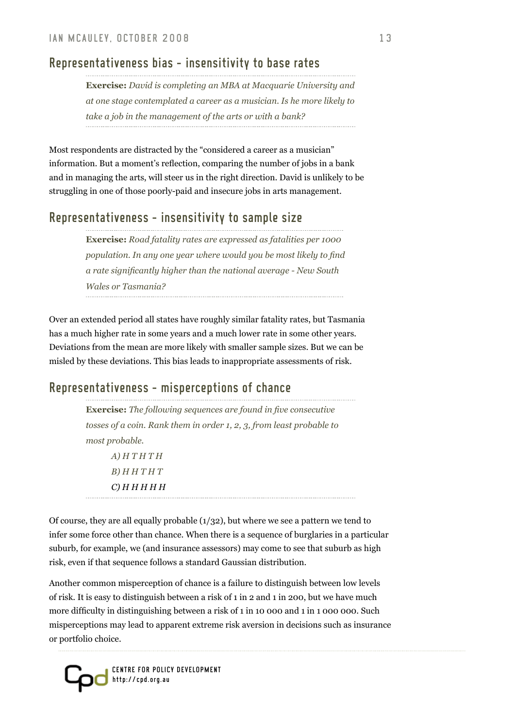# Representativeness bias - insensitivity to base rates

**Exercise:** *David is completing an MBA at Macquarie University and at one stage contemplated a career as a musician. Is he more likely to take a job in the management of the arts or with a bank?*

Most respondents are distracted by the "considered a career as a musician" information. But a moment's reflection, comparing the number of jobs in a bank and in managing the arts, will steer us in the right direction. David is unlikely to be struggling in one of those poorly-paid and insecure jobs in arts management.

# Representativeness - insensitivity to sample size

**Exercise:** *Road fatality rates are expressed as fatalities per 1000 population. In any one year where would you be most likely to find a rate significantly higher than the national average - New South Wales or Tasmania?*

Over an extended period all states have roughly similar fatality rates, but Tasmania has a much higher rate in some years and a much lower rate in some other years. Deviations from the mean are more likely with smaller sample sizes. But we can be misled by these deviations. This bias leads to inappropriate assessments of risk.

# Representativeness - misperceptions of chance

**Exercise:** *The following sequences are found in five consecutive tosses of a coin. Rank them in order 1, 2, 3, from least probable to most probable. A) H T H T H* 

*B) H H T H T C) H H H H H*

Of course, they are all equally probable  $(1/32)$ , but where we see a pattern we tend to infer some force other than chance. When there is a sequence of burglaries in a particular suburb, for example, we (and insurance assessors) may come to see that suburb as high risk, even if that sequence follows a standard Gaussian distribution.

Another common misperception of chance is a failure to distinguish between low levels of risk. It is easy to distinguish between a risk of 1 in 2 and 1 in 200, but we have much more difficulty in distinguishing between a risk of 1 in 10 000 and 1 in 1 000 000. Such misperceptions may lead to apparent extreme risk aversion in decisions such as insurance or portfolio choice.

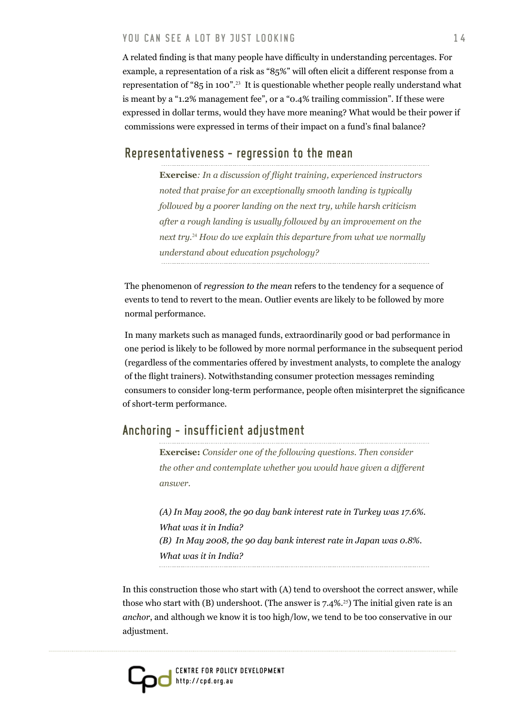A related finding is that many people have difficulty in understanding percentages. For example, a representation of a risk as "85%" will often elicit a different response from a representation of "85 in 100".23 It is questionable whether people really understand what is meant by a "1.2% management fee", or a "0.4% trailing commission". If these were expressed in dollar terms, would they have more meaning? What would be their power if commissions were expressed in terms of their impact on a fund's final balance?

#### Representativeness - regression to the mean

**Exercise***: In a discussion of flight training, experienced instructors noted that praise for an exceptionally smooth landing is typically followed by a poorer landing on the next try, while harsh criticism after a rough landing is usually followed by an improvement on the next try.*24 *How do we explain this departure from what we normally understand about education psychology?*

The phenomenon of *regression to the mean* refers to the tendency for a sequence of events to tend to revert to the mean. Outlier events are likely to be followed by more normal performance.

In many markets such as managed funds, extraordinarily good or bad performance in one period is likely to be followed by more normal performance in the subsequent period (regardless of the commentaries offered by investment analysts, to complete the analogy of the flight trainers). Notwithstanding consumer protection messages reminding consumers to consider long-term performance, people often misinterpret the significance of short-term performance.

# Anchoring - insufficient adjustment

**Exercise:** *Consider one of the following questions. Then consider the other and contemplate whether you would have given a different answer.* 

*(A) In May 2008, the 90 day bank interest rate in Turkey was 17.6%. What was it in India? (B) In May 2008, the 90 day bank interest rate in Japan was 0.8%. What was it in India?* 

In this construction those who start with (A) tend to overshoot the correct answer, while those who start with (B) undershoot. (The answer is  $7.4\%$ <sup>25</sup>) The initial given rate is an *anchor*, and although we know it is too high/low, we tend to be too conservative in our adjustment.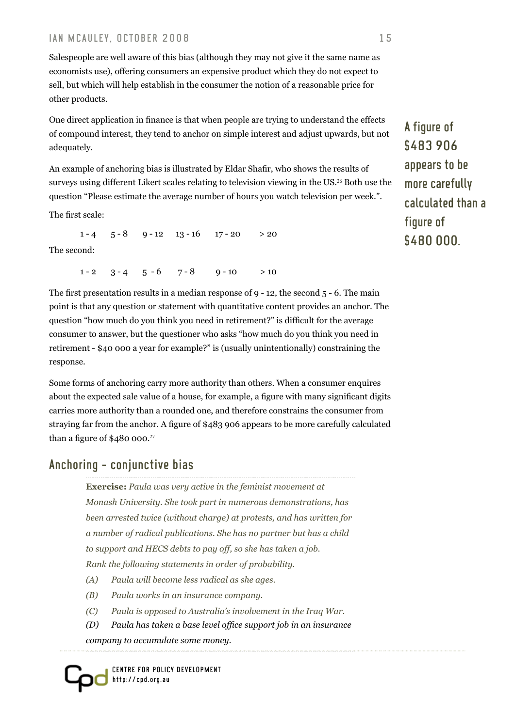Salespeople are well aware of this bias (although they may not give it the same name as economists use), offering consumers an expensive product which they do not expect to sell, but which will help establish in the consumer the notion of a reasonable price for other products.

One direct application in finance is that when people are trying to understand the effects of compound interest, they tend to anchor on simple interest and adjust upwards, but not adequately.

An example of anchoring bias is illustrated by Eldar Shafir, who shows the results of surveys using different Likert scales relating to television viewing in the US.<sup>26</sup> Both use the question "Please estimate the average number of hours you watch television per week.".

The first scale:

 $1 - 4$   $5 - 8$   $9 - 12$   $13 - 16$   $17 - 20$   $> 20$ The second:

 $1 - 2$   $3 - 4$   $5 - 6$   $7 - 8$   $9 - 10$   $> 10$ 

The first presentation results in a median response of 9 - 12, the second 5 - 6. The main point is that any question or statement with quantitative content provides an anchor. The question "how much do you think you need in retirement?" is difficult for the average consumer to answer, but the questioner who asks "how much do you think you need in retirement - \$40 000 a year for example?" is (usually unintentionally) constraining the response.

Some forms of anchoring carry more authority than others. When a consumer enquires about the expected sale value of a house, for example, a figure with many significant digits carries more authority than a rounded one, and therefore constrains the consumer from straying far from the anchor. A figure of \$483 906 appears to be more carefully calculated than a figure of \$480 000.<sup>27</sup>

# Anchoring - conjunctive bias

**Exercise:** *Paula was very active in the feminist movement at Monash University. She took part in numerous demonstrations, has been arrested twice (without charge) at protests, and has written for a number of radical publications. She has no partner but has a child to support and HECS debts to pay off, so she has taken a job. Rank the following statements in order of probability.*

- *(A) Paula will become less radical as she ages.*
- *(B) Paula works in an insurance company.*
- *(C) Paula is opposed to Australia's involvement in the Iraq War.*
- *(D) Paula has taken a base level office support job in an insurance company to accumulate some money.*

Centre For Policy Development http://cpd.org.au

A figure of \$483 906 appears to be more carefully calculated than a figure of \$480 000.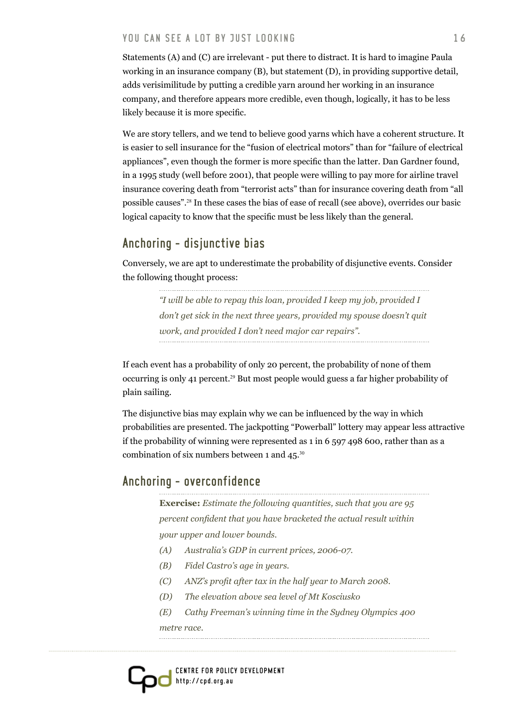Statements (A) and (C) are irrelevant - put there to distract. It is hard to imagine Paula working in an insurance company (B), but statement (D), in providing supportive detail, adds verisimilitude by putting a credible yarn around her working in an insurance company, and therefore appears more credible, even though, logically, it has to be less likely because it is more specific.

We are story tellers, and we tend to believe good yarns which have a coherent structure. It is easier to sell insurance for the "fusion of electrical motors" than for "failure of electrical appliances", even though the former is more specific than the latter. Dan Gardner found, in a 1995 study (well before 2001), that people were willing to pay more for airline travel insurance covering death from "terrorist acts" than for insurance covering death from "all possible causes".28 In these cases the bias of ease of recall (see above), overrides our basic logical capacity to know that the specific must be less likely than the general.

# Anchoring - disjunctive bias

Conversely, we are apt to underestimate the probability of disjunctive events. Consider the following thought process:

> *"I will be able to repay this loan, provided I keep my job, provided I don't get sick in the next three years, provided my spouse doesn't quit work, and provided I don't need major car repairs".*

If each event has a probability of only 20 percent, the probability of none of them occurring is only 41 percent.29 But most people would guess a far higher probability of plain sailing.

The disjunctive bias may explain why we can be influenced by the way in which probabilities are presented. The jackpotting "Powerball" lottery may appear less attractive if the probability of winning were represented as 1 in 6 597 498 600, rather than as a combination of six numbers between 1 and  $45.^{30}$ 

#### Anchoring - overconfidence

**Exercise:** *Estimate the following quantities, such that you are 95 percent confident that you have bracketed the actual result within your upper and lower bounds.* 

- *(A) Australia's GDP in current prices, 2006-07.*
- *(B) Fidel Castro's age in years.*
- *(C) ANZ's profit after tax in the half year to March 2008.*
- *(D) The elevation above sea level of Mt Kosciusko*
- *(E) Cathy Freeman's winning time in the Sydney Olympics 400*

*metre race.*

Centre For Policy Development http://cpd.org.au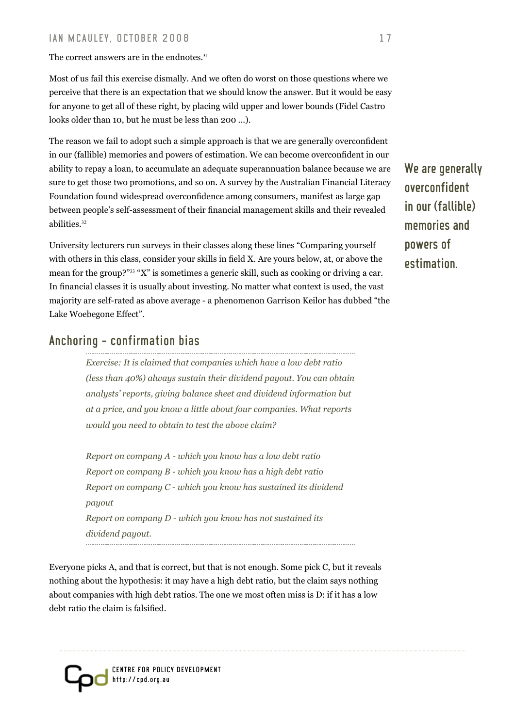The correct answers are in the endnotes.<sup>31</sup>

Most of us fail this exercise dismally. And we often do worst on those questions where we perceive that there is an expectation that we should know the answer. But it would be easy for anyone to get all of these right, by placing wild upper and lower bounds (Fidel Castro looks older than 10, but he must be less than 200 ...).

The reason we fail to adopt such a simple approach is that we are generally overconfident in our (fallible) memories and powers of estimation. We can become overconfident in our ability to repay a loan, to accumulate an adequate superannuation balance because we are sure to get those two promotions, and so on. A survey by the Australian Financial Literacy Foundation found widespread overconfidence among consumers, manifest as large gap between people's self-assessment of their financial management skills and their revealed abilities.<sup>32</sup>

University lecturers run surveys in their classes along these lines "Comparing yourself with others in this class, consider your skills in field X. Are yours below, at, or above the mean for the group?"33 "X" is sometimes a generic skill, such as cooking or driving a car. In financial classes it is usually about investing. No matter what context is used, the vast majority are self-rated as above average - a phenomenon Garrison Keilor has dubbed "the Lake Woebegone Effect".

# Anchoring - confirmation bias

*Exercise: It is claimed that companies which have a low debt ratio (less than 40%) always sustain their dividend payout. You can obtain analysts' reports, giving balance sheet and dividend information but at a price, and you know a little about four companies. What reports would you need to obtain to test the above claim?* 

*Report on company A - which you know has a low debt ratio Report on company B - which you know has a high debt ratio Report on company C - which you know has sustained its dividend payout Report on company D - which you know has not sustained its dividend payout.*

Everyone picks A, and that is correct, but that is not enough. Some pick C, but it reveals nothing about the hypothesis: it may have a high debt ratio, but the claim says nothing about companies with high debt ratios. The one we most often miss is D: if it has a low debt ratio the claim is falsified.

We are generally overconfident in our (fallible) memories and powers of estimation.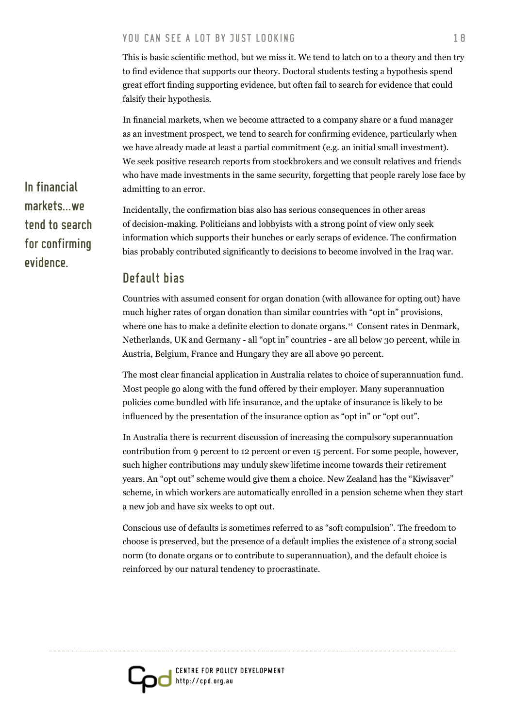This is basic scientific method, but we miss it. We tend to latch on to a theory and then try to find evidence that supports our theory. Doctoral students testing a hypothesis spend great effort finding supporting evidence, but often fail to search for evidence that could falsify their hypothesis.

In financial markets, when we become attracted to a company share or a fund manager as an investment prospect, we tend to search for confirming evidence, particularly when we have already made at least a partial commitment (e.g. an initial small investment). We seek positive research reports from stockbrokers and we consult relatives and friends who have made investments in the same security, forgetting that people rarely lose face by admitting to an error.

Incidentally, the confirmation bias also has serious consequences in other areas of decision-making. Politicians and lobbyists with a strong point of view only seek information which supports their hunches or early scraps of evidence. The confirmation bias probably contributed significantly to decisions to become involved in the Iraq war.

#### Default bias

Countries with assumed consent for organ donation (with allowance for opting out) have much higher rates of organ donation than similar countries with "opt in" provisions, where one has to make a definite election to donate organs.<sup>34</sup> Consent rates in Denmark, Netherlands, UK and Germany - all "opt in" countries - are all below 30 percent, while in Austria, Belgium, France and Hungary they are all above 90 percent.

The most clear financial application in Australia relates to choice of superannuation fund. Most people go along with the fund offered by their employer. Many superannuation policies come bundled with life insurance, and the uptake of insurance is likely to be influenced by the presentation of the insurance option as "opt in" or "opt out".

In Australia there is recurrent discussion of increasing the compulsory superannuation contribution from 9 percent to 12 percent or even 15 percent. For some people, however, such higher contributions may unduly skew lifetime income towards their retirement years. An "opt out" scheme would give them a choice. New Zealand has the "Kiwisaver" scheme, in which workers are automatically enrolled in a pension scheme when they start a new job and have six weeks to opt out.

Conscious use of defaults is sometimes referred to as "soft compulsion". The freedom to choose is preserved, but the presence of a default implies the existence of a strong social norm (to donate organs or to contribute to superannuation), and the default choice is reinforced by our natural tendency to procrastinate.



In financial markets we tend to search for confirming evidence.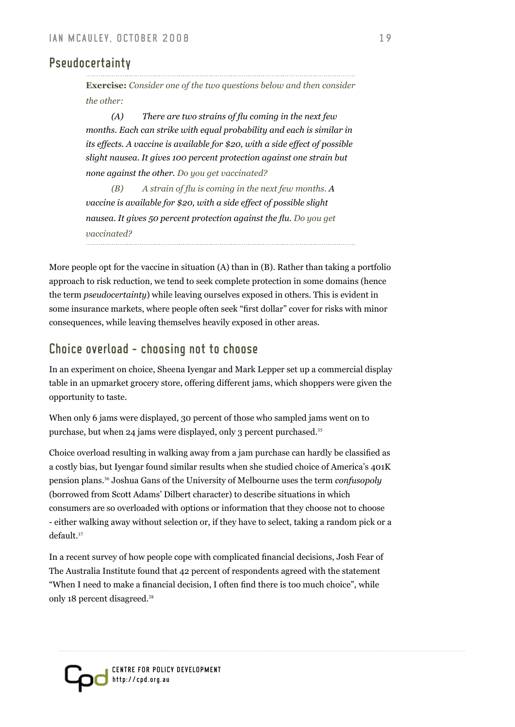# Pseudocertainty

**Exercise:** *Consider one of the two questions below and then consider the other:* 

 *(A) There are two strains of flu coming in the next few months. Each can strike with equal probability and each is similar in its effects. A vaccine is available for \$20, with a side effect of possible slight nausea. It gives 100 percent protection against one strain but none against the other. Do you get vaccinated?* 

*(B) A strain of flu is coming in the next few months. A vaccine is available for \$20, with a side effect of possible slight nausea. It gives 50 percent protection against the flu. Do you get vaccinated?*

More people opt for the vaccine in situation (A) than in (B). Rather than taking a portfolio approach to risk reduction, we tend to seek complete protection in some domains (hence the term *pseudocertainty*) while leaving ourselves exposed in others. This is evident in some insurance markets, where people often seek "first dollar" cover for risks with minor consequences, while leaving themselves heavily exposed in other areas.

# Choice overload - choosing not to choose

In an experiment on choice, Sheena Iyengar and Mark Lepper set up a commercial display table in an upmarket grocery store, offering different jams, which shoppers were given the opportunity to taste.

When only 6 jams were displayed, 30 percent of those who sampled jams went on to purchase, but when 24 jams were displayed, only 3 percent purchased.<sup>35</sup>

Choice overload resulting in walking away from a jam purchase can hardly be classified as a costly bias, but Iyengar found similar results when she studied choice of America's 401K pension plans.36 Joshua Gans of the University of Melbourne uses the term *confusopoly*  (borrowed from Scott Adams' Dilbert character) to describe situations in which consumers are so overloaded with options or information that they choose not to choose - either walking away without selection or, if they have to select, taking a random pick or a default.<sup>37</sup>

In a recent survey of how people cope with complicated financial decisions, Josh Fear of The Australia Institute found that 42 percent of respondents agreed with the statement "When I need to make a financial decision, I often find there is too much choice", while only 18 percent disagreed.<sup>38</sup>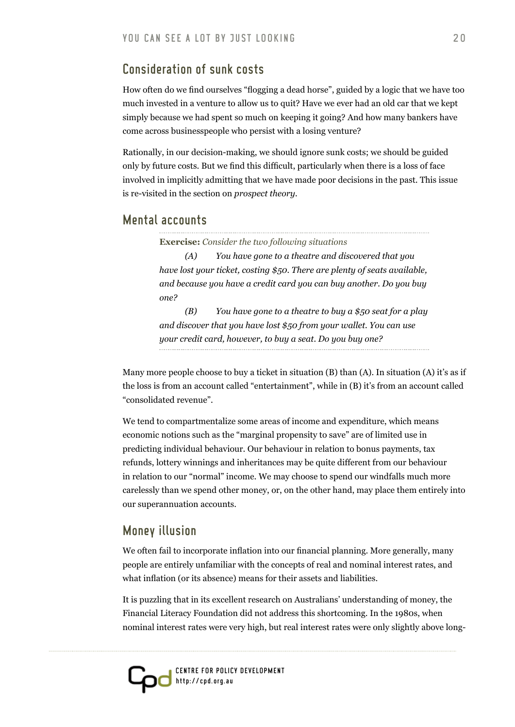## Consideration of sunk costs

How often do we find ourselves "flogging a dead horse", guided by a logic that we have too much invested in a venture to allow us to quit? Have we ever had an old car that we kept simply because we had spent so much on keeping it going? And how many bankers have come across businesspeople who persist with a losing venture?

Rationally, in our decision-making, we should ignore sunk costs; we should be guided only by future costs. But we find this difficult, particularly when there is a loss of face involved in implicitly admitting that we have made poor decisions in the past. This issue is re-visited in the section on *prospect theory.*

#### Mental accounts

**Exercise:** *Consider the two following situations*

*(A) You have gone to a theatre and discovered that you have lost your ticket, costing \$50. There are plenty of seats available, and because you have a credit card you can buy another. Do you buy one?* 

*(B) You have gone to a theatre to buy a \$50 seat for a play and discover that you have lost \$50 from your wallet. You can use your credit card, however, to buy a seat. Do you buy one?*

Many more people choose to buy a ticket in situation (B) than (A). In situation (A) it's as if the loss is from an account called "entertainment", while in (B) it's from an account called "consolidated revenue".

We tend to compartmentalize some areas of income and expenditure, which means economic notions such as the "marginal propensity to save" are of limited use in predicting individual behaviour. Our behaviour in relation to bonus payments, tax refunds, lottery winnings and inheritances may be quite different from our behaviour in relation to our "normal" income. We may choose to spend our windfalls much more carelessly than we spend other money, or, on the other hand, may place them entirely into our superannuation accounts.

# Money illusion

We often fail to incorporate inflation into our financial planning. More generally, many people are entirely unfamiliar with the concepts of real and nominal interest rates, and what inflation (or its absence) means for their assets and liabilities.

It is puzzling that in its excellent research on Australians' understanding of money, the Financial Literacy Foundation did not address this shortcoming. In the 1980s, when nominal interest rates were very high, but real interest rates were only slightly above long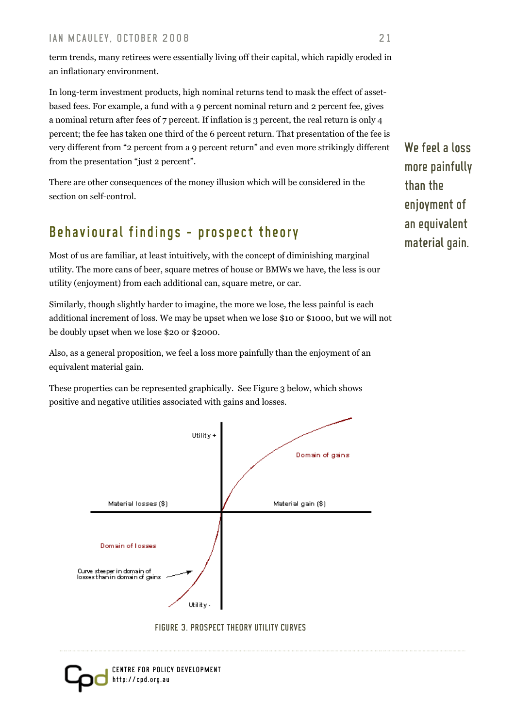term trends, many retirees were essentially living off their capital, which rapidly eroded in an inflationary environment.

In long-term investment products, high nominal returns tend to mask the effect of assetbased fees. For example, a fund with a 9 percent nominal return and 2 percent fee, gives a nominal return after fees of 7 percent. If inflation is 3 percent, the real return is only 4 percent; the fee has taken one third of the 6 percent return. That presentation of the fee is very different from "2 percent from a 9 percent return" and even more strikingly different from the presentation "just 2 percent".

There are other consequences of the money illusion which will be considered in the section on self-control.

# Behavioural findings - prospect theory

Most of us are familiar, at least intuitively, with the concept of diminishing marginal utility. The more cans of beer, square metres of house or BMWs we have, the less is our utility (enjoyment) from each additional can, square metre, or car.

Similarly, though slightly harder to imagine, the more we lose, the less painful is each additional increment of loss. We may be upset when we lose \$10 or \$1000, but we will not be doubly upset when we lose \$20 or \$2000.

Also, as a general proposition, we feel a loss more painfully than the enjoyment of an equivalent material gain.

These properties can be represented graphically. See Figure 3 below, which shows positive and negative utilities associated with gains and losses.







We feel a loss more painfully than the enjoyment of an equivalent material gain.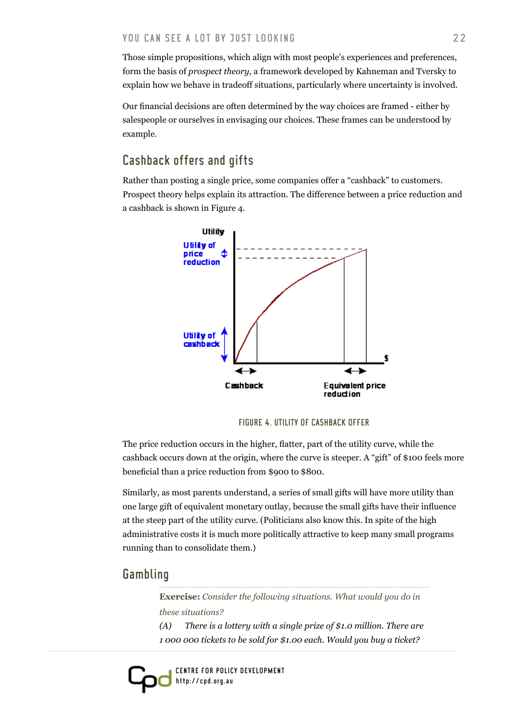Those simple propositions, which align with most people's experiences and preferences, form the basis of *prospect theory*, a framework developed by Kahneman and Tversky to explain how we behave in tradeoff situations, particularly where uncertainty is involved.

Our financial decisions are often determined by the way choices are framed - either by salespeople or ourselves in envisaging our choices. These frames can be understood by example.

# Cashback offers and gifts

Rather than posting a single price, some companies offer a "cashback" to customers. Prospect theory helps explain its attraction. The difference between a price reduction and a cashback is shown in Figure 4.



Figure 4. Utility of cashback offer

The price reduction occurs in the higher, flatter, part of the utility curve, while the cashback occurs down at the origin, where the curve is steeper. A "gift" of \$100 feels more beneficial than a price reduction from \$900 to \$800.

Similarly, as most parents understand, a series of small gifts will have more utility than one large gift of equivalent monetary outlay, because the small gifts have their influence at the steep part of the utility curve. (Politicians also know this. In spite of the high administrative costs it is much more politically attractive to keep many small programs running than to consolidate them.)

# **Gambling**

**Exercise:** *Consider the following situations. What would you do in these situations?* 

*(A) There is a lottery with a single prize of \$1.0 million. There are 1 000 000 tickets to be sold for \$1.00 each. Would you buy a ticket?*

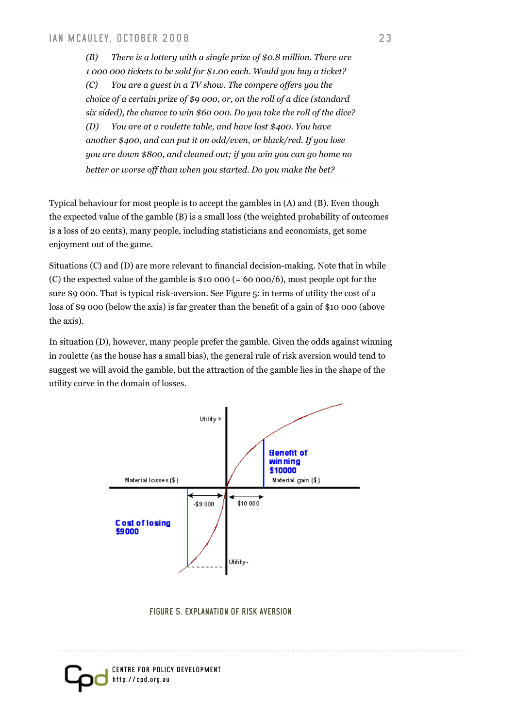*(B) There is a lottery with a single prize of \$0.8 million. There are 1 000 000 tickets to be sold for \$1.00 each. Would you buy a ticket? (C) You are a guest in a TV show. The compere offers you the choice of a certain prize of \$9 000, or, on the roll of a dice (standard six sided), the chance to win \$60 000. Do you take the roll of the dice? (D) You are at a roulette table, and have lost \$400. You have another \$400, and can put it on odd/even, or black/red. If you lose you are down \$800, and cleaned out; if you win you can go home no better or worse off than when you started. Do you make the bet?* 

Typical behaviour for most people is to accept the gambles in (A) and (B). Even though the expected value of the gamble (B) is a small loss (the weighted probability of outcomes is a loss of 20 cents), many people, including statisticians and economists, get some enjoyment out of the game.

Situations (C) and (D) are more relevant to financial decision-making. Note that in while (C) the expected value of the gamble is \$10 000 (= 60 000/6), most people opt for the sure \$9 000. That is typical risk-aversion. See Figure 5: in terms of utility the cost of a loss of \$9 000 (below the axis) is far greater than the benefit of a gain of \$10 000 (above the axis).

In situation (D), however, many people prefer the gamble. Given the odds against winning in roulette (as the house has a small bias), the general rule of risk aversion would tend to suggest we will avoid the gamble, but the attraction of the gamble lies in the shape of the utility curve in the domain of losses.



Figure 5. Explanation of risk aversion

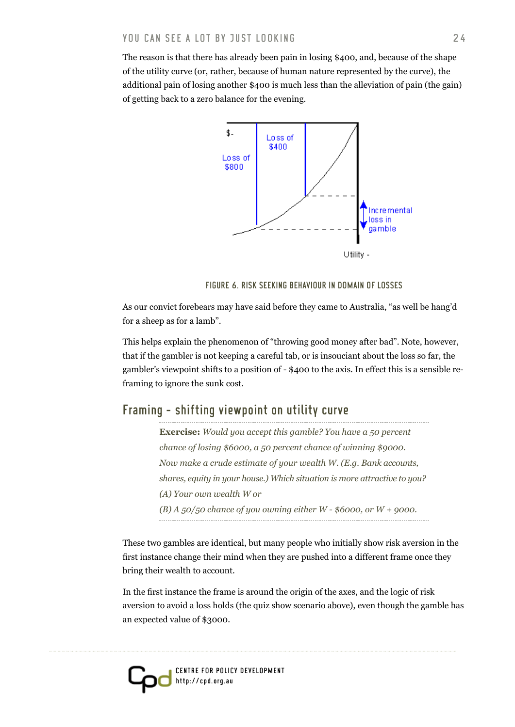The reason is that there has already been pain in losing \$400, and, because of the shape of the utility curve (or, rather, because of human nature represented by the curve), the additional pain of losing another \$400 is much less than the alleviation of pain (the gain) of getting back to a zero balance for the evening.



Figure 6. Risk seeking behaviour in domain of losses

As our convict forebears may have said before they came to Australia, "as well be hang'd for a sheep as for a lamb".

This helps explain the phenomenon of "throwing good money after bad". Note, however, that if the gambler is not keeping a careful tab, or is insouciant about the loss so far, the gambler's viewpoint shifts to a position of - \$400 to the axis. In effect this is a sensible reframing to ignore the sunk cost.

# Framing - shifting viewpoint on utility curve

**Exercise:** *Would you accept this gamble? You have a 50 percent chance of losing \$6000, a 50 percent chance of winning \$9000. Now make a crude estimate of your wealth W. (E.g. Bank accounts, shares, equity in your house.) Which situation is more attractive to you? (A) Your own wealth W or (B) A 50/50 chance of you owning either W - \$6000, or W + 9000.*

These two gambles are identical, but many people who initially show risk aversion in the first instance change their mind when they are pushed into a different frame once they bring their wealth to account.

In the first instance the frame is around the origin of the axes, and the logic of risk aversion to avoid a loss holds (the quiz show scenario above), even though the gamble has an expected value of \$3000.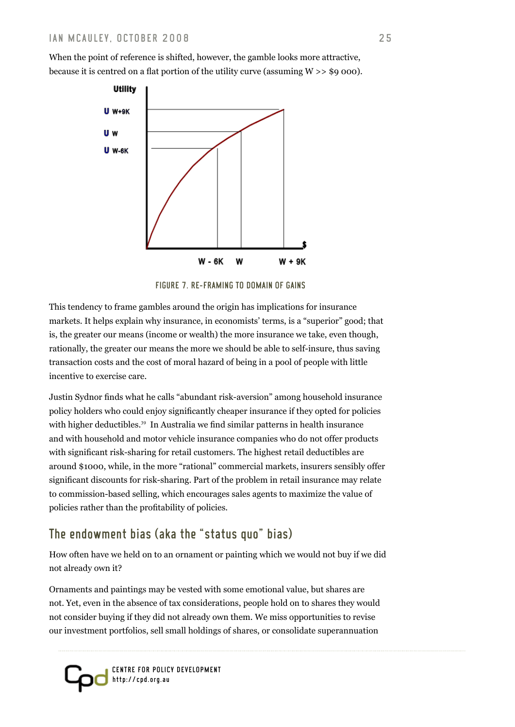When the point of reference is shifted, however, the gamble looks more attractive, because it is centred on a flat portion of the utility curve (assuming  $W \gg$  \$9 000).



Figure 7. Re-framing to domain of gains

This tendency to frame gambles around the origin has implications for insurance markets. It helps explain why insurance, in economists' terms, is a "superior" good; that is, the greater our means (income or wealth) the more insurance we take, even though, rationally, the greater our means the more we should be able to self-insure, thus saving transaction costs and the cost of moral hazard of being in a pool of people with little incentive to exercise care.

Justin Sydnor finds what he calls "abundant risk-aversion" among household insurance policy holders who could enjoy significantly cheaper insurance if they opted for policies with higher deductibles.<sup>39</sup> In Australia we find similar patterns in health insurance and with household and motor vehicle insurance companies who do not offer products with significant risk-sharing for retail customers. The highest retail deductibles are around \$1000, while, in the more "rational" commercial markets, insurers sensibly offer significant discounts for risk-sharing. Part of the problem in retail insurance may relate to commission-based selling, which encourages sales agents to maximize the value of policies rather than the profitability of policies.

# The endowment bias (aka the "status quo" bias)

How often have we held on to an ornament or painting which we would not buy if we did not already own it?

Ornaments and paintings may be vested with some emotional value, but shares are not. Yet, even in the absence of tax considerations, people hold on to shares they would not consider buying if they did not already own them. We miss opportunities to revise our investment portfolios, sell small holdings of shares, or consolidate superannuation

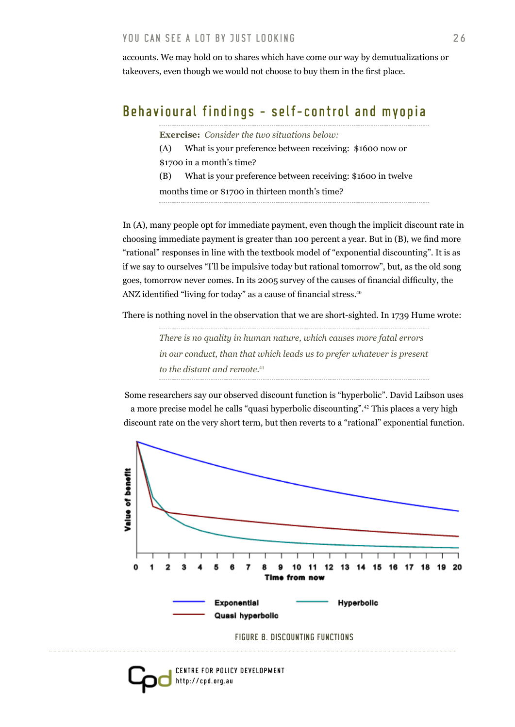accounts. We may hold on to shares which have come our way by demutualizations or takeovers, even though we would not choose to buy them in the first place.

# Behavioural findings - self-control and myopia

**Exercise:** *Consider the two situations below:*

(A) What is your preference between receiving: \$1600 now or \$1700 in a month's time?

(B) What is your preference between receiving: \$1600 in twelve

months time or \$1700 in thirteen month's time?

In (A), many people opt for immediate payment, even though the implicit discount rate in choosing immediate payment is greater than 100 percent a year. But in (B), we find more "rational" responses in line with the textbook model of "exponential discounting". It is as if we say to ourselves "I'll be impulsive today but rational tomorrow", but, as the old song goes, tomorrow never comes. In its 2005 survey of the causes of financial difficulty, the ANZ identified "living for today" as a cause of financial stress.<sup>40</sup>

There is nothing novel in the observation that we are short-sighted. In 1739 Hume wrote:

*There is no quality in human nature, which causes more fatal errors in our conduct, than that which leads us to prefer whatever is present to the distant and remote.*<sup>41</sup>

Some researchers say our observed discount function is "hyperbolic". David Laibson uses a more precise model he calls "quasi hyperbolic discounting".42 This places a very high discount rate on the very short term, but then reverts to a "rational" exponential function.



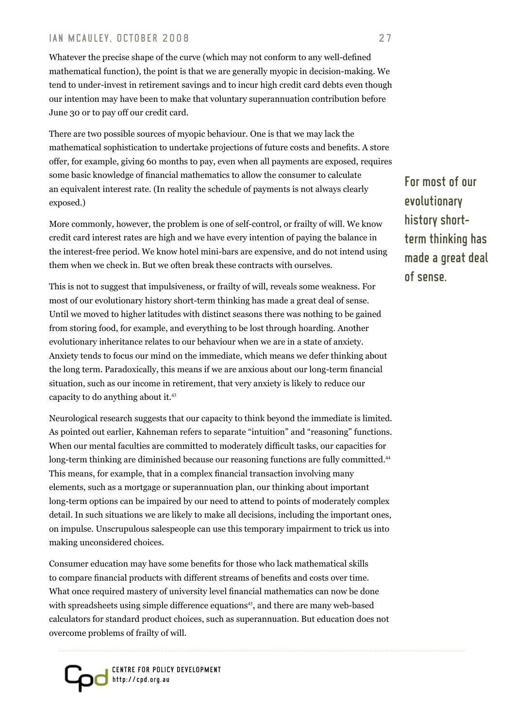#### IAN MCAULEY. OCTOBER 2008 27

Whatever the precise shape of the curve (which may not conform to any well-defined mathematical function), the point is that we are generally myopic in decision-making. We tend to under-invest in retirement savings and to incur high credit card debts even though our intention may have been to make that voluntary superannuation contribution before June 30 or to pay off our credit card.

There are two possible sources of myopic behaviour. One is that we may lack the mathematical sophistication to undertake projections of future costs and benefits. A store offer, for example, giving 60 months to pay, even when all payments are exposed, requires some basic knowledge of financial mathematics to allow the consumer to calculate an equivalent interest rate. (In reality the schedule of payments is not always clearly exposed.)

More commonly, however, the problem is one of self-control, or frailty of will. We know credit card interest rates are high and we have every intention of paying the balance in the interest-free period. We know hotel mini-bars are expensive, and do not intend using them when we check in. But we often break these contracts with ourselves.

This is not to suggest that impulsiveness, or frailty of will, reveals some weakness. For most of our evolutionary history short-term thinking has made a great deal of sense. Until we moved to higher latitudes with distinct seasons there was nothing to be gained from storing food, for example, and everything to be lost through hoarding. Another evolutionary inheritance relates to our behaviour when we are in a state of anxiety. Anxiety tends to focus our mind on the immediate, which means we defer thinking about the long term. Paradoxically, this means if we are anxious about our long-term financial situation, such as our income in retirement, that very anxiety is likely to reduce our capacity to do anything about it.<sup>43</sup>

Neurological research suggests that our capacity to think beyond the immediate is limited. As pointed out earlier, Kahneman refers to separate "intuition" and "reasoning" functions. When our mental faculties are committed to moderately difficult tasks, our capacities for long-term thinking are diminished because our reasoning functions are fully committed.<sup>44</sup> This means, for example, that in a complex financial transaction involving many elements, such as a mortgage or superannuation plan, our thinking about important long-term options can be impaired by our need to attend to points of moderately complex detail. In such situations we are likely to make all decisions, including the important ones, on impulse. Unscrupulous salespeople can use this temporary impairment to trick us into making unconsidered choices.

Consumer education may have some benefits for those who lack mathematical skills to compare financial products with different streams of benefits and costs over time. What once required mastery of university level financial mathematics can now be done with spreadsheets using simple difference equations<sup>45</sup>, and there are many web-based calculators for standard product choices, such as superannuation. But education does not overcome problems of frailty of will.



For most of our evolutionary history shortterm thinking has made a great deal of sense.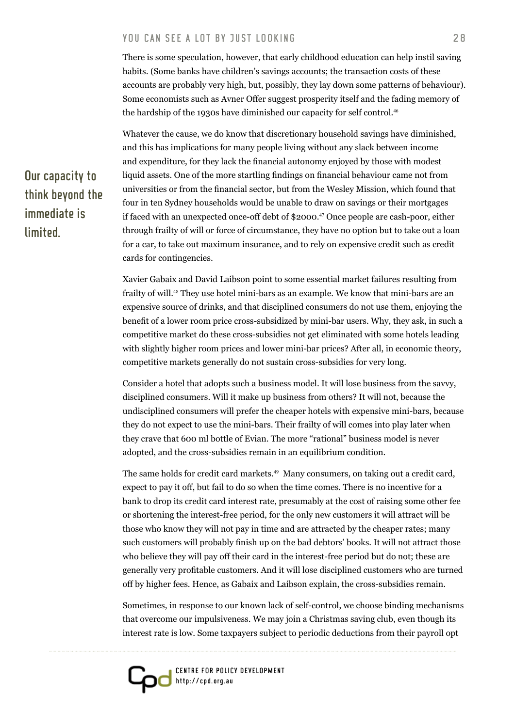There is some speculation, however, that early childhood education can help instil saving habits. (Some banks have children's savings accounts; the transaction costs of these accounts are probably very high, but, possibly, they lay down some patterns of behaviour). Some economists such as Avner Offer suggest prosperity itself and the fading memory of the hardship of the 1930s have diminished our capacity for self control.<sup>46</sup>

Whatever the cause, we do know that discretionary household savings have diminished, and this has implications for many people living without any slack between income and expenditure, for they lack the financial autonomy enjoyed by those with modest liquid assets. One of the more startling findings on financial behaviour came not from universities or from the financial sector, but from the Wesley Mission, which found that four in ten Sydney households would be unable to draw on savings or their mortgages if faced with an unexpected once-off debt of \$2000.47 Once people are cash-poor, either through frailty of will or force of circumstance, they have no option but to take out a loan for a car, to take out maximum insurance, and to rely on expensive credit such as credit cards for contingencies.

Xavier Gabaix and David Laibson point to some essential market failures resulting from frailty of will.48 They use hotel mini-bars as an example. We know that mini-bars are an expensive source of drinks, and that disciplined consumers do not use them, enjoying the benefit of a lower room price cross-subsidized by mini-bar users. Why, they ask, in such a competitive market do these cross-subsidies not get eliminated with some hotels leading with slightly higher room prices and lower mini-bar prices? After all, in economic theory, competitive markets generally do not sustain cross-subsidies for very long.

Consider a hotel that adopts such a business model. It will lose business from the savvy, disciplined consumers. Will it make up business from others? It will not, because the undisciplined consumers will prefer the cheaper hotels with expensive mini-bars, because they do not expect to use the mini-bars. Their frailty of will comes into play later when they crave that 600 ml bottle of Evian. The more "rational" business model is never adopted, and the cross-subsidies remain in an equilibrium condition.

The same holds for credit card markets.<sup>49</sup> Many consumers, on taking out a credit card, expect to pay it off, but fail to do so when the time comes. There is no incentive for a bank to drop its credit card interest rate, presumably at the cost of raising some other fee or shortening the interest-free period, for the only new customers it will attract will be those who know they will not pay in time and are attracted by the cheaper rates; many such customers will probably finish up on the bad debtors' books. It will not attract those who believe they will pay off their card in the interest-free period but do not; these are generally very profitable customers. And it will lose disciplined customers who are turned off by higher fees. Hence, as Gabaix and Laibson explain, the cross-subsidies remain.

Sometimes, in response to our known lack of self-control, we choose binding mechanisms that overcome our impulsiveness. We may join a Christmas saving club, even though its interest rate is low. Some taxpayers subject to periodic deductions from their payroll opt



# Our capacity to think beyond the immediate is limited.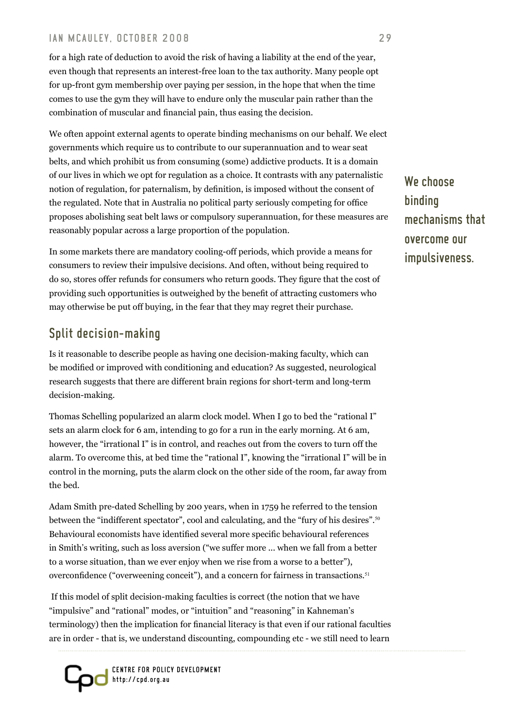#### IAN MCAULEY. OCTOBER 2008 29

for a high rate of deduction to avoid the risk of having a liability at the end of the year, even though that represents an interest-free loan to the tax authority. Many people opt for up-front gym membership over paying per session, in the hope that when the time comes to use the gym they will have to endure only the muscular pain rather than the combination of muscular and financial pain, thus easing the decision.

We often appoint external agents to operate binding mechanisms on our behalf. We elect governments which require us to contribute to our superannuation and to wear seat belts, and which prohibit us from consuming (some) addictive products. It is a domain of our lives in which we opt for regulation as a choice. It contrasts with any paternalistic notion of regulation, for paternalism, by definition, is imposed without the consent of the regulated. Note that in Australia no political party seriously competing for office proposes abolishing seat belt laws or compulsory superannuation, for these measures are reasonably popular across a large proportion of the population.

In some markets there are mandatory cooling-off periods, which provide a means for consumers to review their impulsive decisions. And often, without being required to do so, stores offer refunds for consumers who return goods. They figure that the cost of providing such opportunities is outweighed by the benefit of attracting customers who may otherwise be put off buying, in the fear that they may regret their purchase.

# Split decision-making

Is it reasonable to describe people as having one decision-making faculty, which can be modified or improved with conditioning and education? As suggested, neurological research suggests that there are different brain regions for short-term and long-term decision-making.

Thomas Schelling popularized an alarm clock model. When I go to bed the "rational I" sets an alarm clock for 6 am, intending to go for a run in the early morning. At 6 am, however, the "irrational I" is in control, and reaches out from the covers to turn off the alarm. To overcome this, at bed time the "rational I", knowing the "irrational I" will be in control in the morning, puts the alarm clock on the other side of the room, far away from the bed.

Adam Smith pre-dated Schelling by 200 years, when in 1759 he referred to the tension between the "indifferent spectator", cool and calculating, and the "fury of his desires".<sup>50</sup> Behavioural economists have identified several more specific behavioural references in Smith's writing, such as loss aversion ("we suffer more ... when we fall from a better to a worse situation, than we ever enjoy when we rise from a worse to a better"), overconfidence ("overweening conceit"), and a concern for fairness in transactions.<sup>51</sup>

 If this model of split decision-making faculties is correct (the notion that we have "impulsive" and "rational" modes, or "intuition" and "reasoning" in Kahneman's terminology) then the implication for financial literacy is that even if our rational faculties are in order - that is, we understand discounting, compounding etc - we still need to learn



We choose binding mechanisms that overcome our impulsiveness.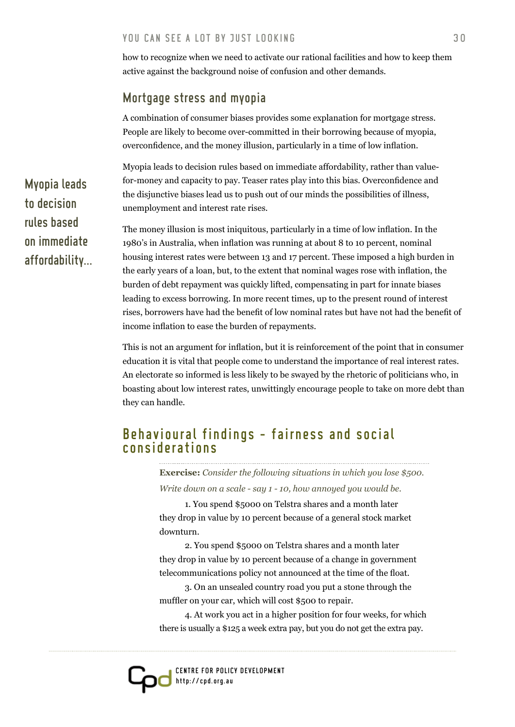how to recognize when we need to activate our rational facilities and how to keep them active against the background noise of confusion and other demands.

# Mortgage stress and myopia

A combination of consumer biases provides some explanation for mortgage stress. People are likely to become over-committed in their borrowing because of myopia, overconfidence, and the money illusion, particularly in a time of low inflation.

Myopia leads to decision rules based on immediate affordability, rather than valuefor-money and capacity to pay. Teaser rates play into this bias. Overconfidence and the disjunctive biases lead us to push out of our minds the possibilities of illness, unemployment and interest rate rises.

The money illusion is most iniquitous, particularly in a time of low inflation. In the 1980's in Australia, when inflation was running at about 8 to 10 percent, nominal housing interest rates were between 13 and 17 percent. These imposed a high burden in the early years of a loan, but, to the extent that nominal wages rose with inflation, the burden of debt repayment was quickly lifted, compensating in part for innate biases leading to excess borrowing. In more recent times, up to the present round of interest rises, borrowers have had the benefit of low nominal rates but have not had the benefit of income inflation to ease the burden of repayments.

This is not an argument for inflation, but it is reinforcement of the point that in consumer education it is vital that people come to understand the importance of real interest rates. An electorate so informed is less likely to be swayed by the rhetoric of politicians who, in boasting about low interest rates, unwittingly encourage people to take on more debt than they can handle.

# Behavioural findings - fairness and social considerations

**Exercise:** *Consider the following situations in which you lose \$500. Write down on a scale - say 1 - 10, how annoyed you would be.* 

1. You spend \$5000 on Telstra shares and a month later they drop in value by 10 percent because of a general stock market downturn.

2. You spend \$5000 on Telstra shares and a month later they drop in value by 10 percent because of a change in government telecommunications policy not announced at the time of the float.

3. On an unsealed country road you put a stone through the muffler on your car, which will cost \$500 to repair.

4. At work you act in a higher position for four weeks, for which there is usually a \$125 a week extra pay, but you do not get the extra pay.

Myopia leads to decision rules based on immediate affordability...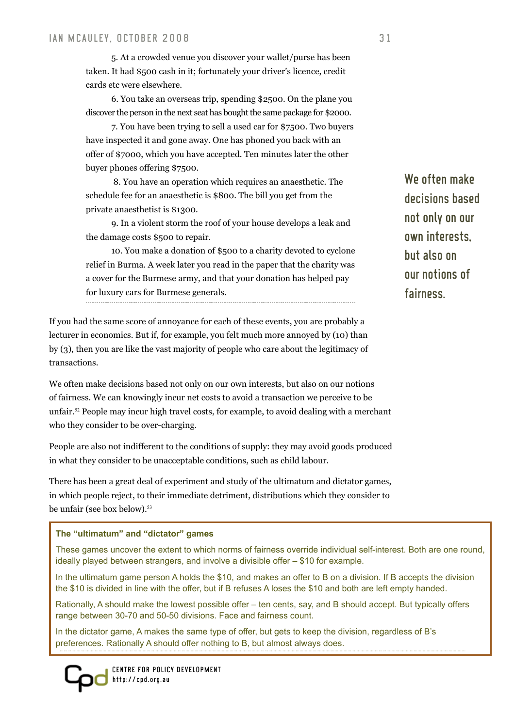5. At a crowded venue you discover your wallet/purse has been taken. It had \$500 cash in it; fortunately your driver's licence, credit cards etc were elsewhere.

6. You take an overseas trip, spending \$2500. On the plane you discover the person in the next seat has bought the same package for \$2000.

7. You have been trying to sell a used car for \$7500. Two buyers have inspected it and gone away. One has phoned you back with an offer of \$7000, which you have accepted. Ten minutes later the other buyer phones offering \$7500.

 8. You have an operation which requires an anaesthetic. The schedule fee for an anaesthetic is \$800. The bill you get from the private anaesthetist is \$1300.

9. In a violent storm the roof of your house develops a leak and the damage costs \$500 to repair.

10. You make a donation of \$500 to a charity devoted to cyclone relief in Burma. A week later you read in the paper that the charity was a cover for the Burmese army, and that your donation has helped pay for luxury cars for Burmese generals.

If you had the same score of annoyance for each of these events, you are probably a lecturer in economics. But if, for example, you felt much more annoyed by (10) than by (3), then you are like the vast majority of people who care about the legitimacy of transactions.

We often make decisions based not only on our own interests, but also on our notions of fairness. We can knowingly incur net costs to avoid a transaction we perceive to be unfair.52 People may incur high travel costs, for example, to avoid dealing with a merchant who they consider to be over-charging.

People are also not indifferent to the conditions of supply: they may avoid goods produced in what they consider to be unacceptable conditions, such as child labour.

There has been a great deal of experiment and study of the ultimatum and dictator games, in which people reject, to their immediate detriment, distributions which they consider to be unfair (see box below).<sup>53</sup>

#### **The "ultimatum" and "dictator" games**

These games uncover the extent to which norms of fairness override individual self-interest. Both are one round, ideally played between strangers, and involve a divisible offer – \$10 for example.

In the ultimatum game person A holds the \$10, and makes an offer to B on a division. If B accepts the division the \$10 is divided in line with the offer, but if B refuses A loses the \$10 and both are left empty handed.

Rationally, A should make the lowest possible offer – ten cents, say, and B should accept. But typically offers range between 30-70 and 50-50 divisions. Face and fairness count.

In the dictator game, A makes the same type of offer, but gets to keep the division, regardless of B's preferences. Rationally A should offer nothing to B, but almost always does.



We often make decisions based not only on our own interests, but also on our notions of fairness.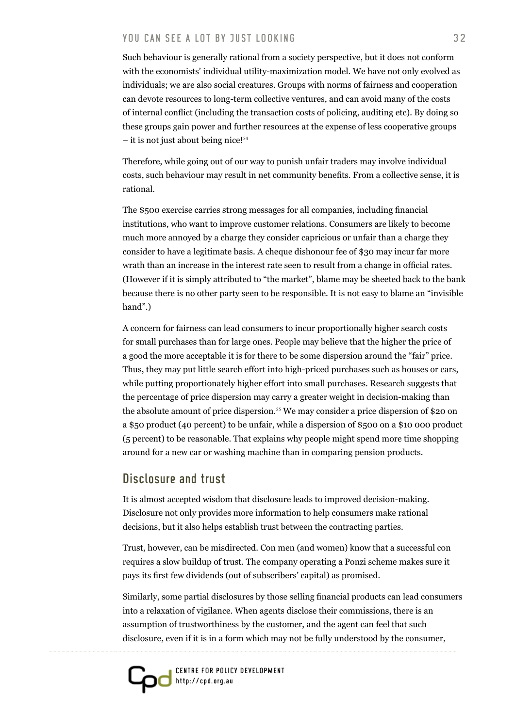Such behaviour is generally rational from a society perspective, but it does not conform with the economists' individual utility-maximization model. We have not only evolved as individuals; we are also social creatures. Groups with norms of fairness and cooperation can devote resources to long-term collective ventures, and can avoid many of the costs of internal conflict (including the transaction costs of policing, auditing etc). By doing so these groups gain power and further resources at the expense of less cooperative groups  $-$  it is not just about being nice!<sup>54</sup>

Therefore, while going out of our way to punish unfair traders may involve individual costs, such behaviour may result in net community benefits. From a collective sense, it is rational.

The \$500 exercise carries strong messages for all companies, including financial institutions, who want to improve customer relations. Consumers are likely to become much more annoyed by a charge they consider capricious or unfair than a charge they consider to have a legitimate basis. A cheque dishonour fee of \$30 may incur far more wrath than an increase in the interest rate seen to result from a change in official rates. (However if it is simply attributed to "the market", blame may be sheeted back to the bank because there is no other party seen to be responsible. It is not easy to blame an "invisible hand".)

A concern for fairness can lead consumers to incur proportionally higher search costs for small purchases than for large ones. People may believe that the higher the price of a good the more acceptable it is for there to be some dispersion around the "fair" price. Thus, they may put little search effort into high-priced purchases such as houses or cars, while putting proportionately higher effort into small purchases. Research suggests that the percentage of price dispersion may carry a greater weight in decision-making than the absolute amount of price dispersion.<sup>55</sup> We may consider a price dispersion of \$20 on a \$50 product (40 percent) to be unfair, while a dispersion of \$500 on a \$10 000 product (5 percent) to be reasonable. That explains why people might spend more time shopping around for a new car or washing machine than in comparing pension products.

#### Disclosure and trust

It is almost accepted wisdom that disclosure leads to improved decision-making. Disclosure not only provides more information to help consumers make rational decisions, but it also helps establish trust between the contracting parties.

Trust, however, can be misdirected. Con men (and women) know that a successful con requires a slow buildup of trust. The company operating a Ponzi scheme makes sure it pays its first few dividends (out of subscribers' capital) as promised.

Similarly, some partial disclosures by those selling financial products can lead consumers into a relaxation of vigilance. When agents disclose their commissions, there is an assumption of trustworthiness by the customer, and the agent can feel that such disclosure, even if it is in a form which may not be fully understood by the consumer,

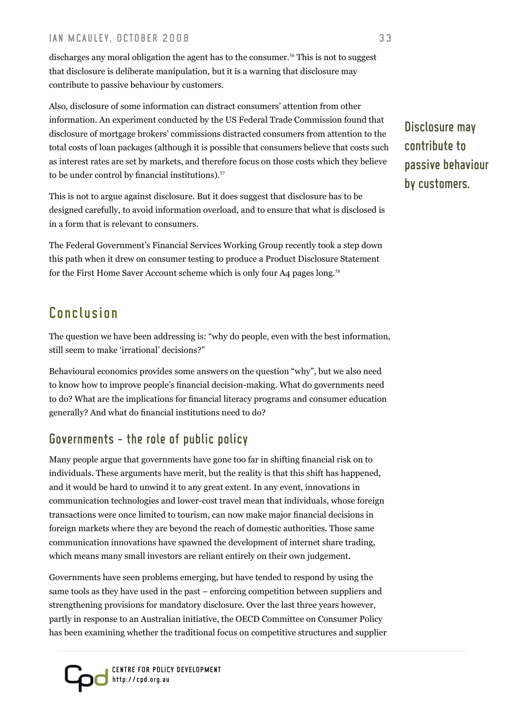discharges any moral obligation the agent has to the consumer.<sup>56</sup> This is not to suggest that disclosure is deliberate manipulation, but it is a warning that disclosure may contribute to passive behaviour by customers.

Also, disclosure of some information can distract consumers' attention from other information. An experiment conducted by the US Federal Trade Commission found that disclosure of mortgage brokers' commissions distracted consumers from attention to the total costs of loan packages (although it is possible that consumers believe that costs such as interest rates are set by markets, and therefore focus on those costs which they believe to be under control by financial institutions).<sup>57</sup>

This is not to argue against disclosure. But it does suggest that disclosure has to be designed carefully, to avoid information overload, and to ensure that what is disclosed is in a form that is relevant to consumers.

The Federal Government's Financial Services Working Group recently took a step down this path when it drew on consumer testing to produce a Product Disclosure Statement for the First Home Saver Account scheme which is only four A4 pages long.<sup>58</sup>

# Conclusion

The question we have been addressing is: "why do people, even with the best information, still seem to make 'irrational' decisions?"

Behavioural economics provides some answers on the question "why", but we also need to know how to improve people's financial decision-making. What do governments need to do? What are the implications for financial literacy programs and consumer education generally? And what do financial institutions need to do?

# Governments – the role of public policy

Many people argue that governments have gone too far in shifting financial risk on to individuals. These arguments have merit, but the reality is that this shift has happened, and it would be hard to unwind it to any great extent. In any event, innovations in communication technologies and lower-cost travel mean that individuals, whose foreign transactions were once limited to tourism, can now make major financial decisions in foreign markets where they are beyond the reach of domestic authorities. Those same communication innovations have spawned the development of internet share trading, which means many small investors are reliant entirely on their own judgement.

Governments have seen problems emerging, but have tended to respond by using the same tools as they have used in the past – enforcing competition between suppliers and strengthening provisions for mandatory disclosure. Over the last three years however, partly in response to an Australian initiative, the OECD Committee on Consumer Policy has been examining whether the traditional focus on competitive structures and supplier



Disclosure may contribute to passive behaviour by customers.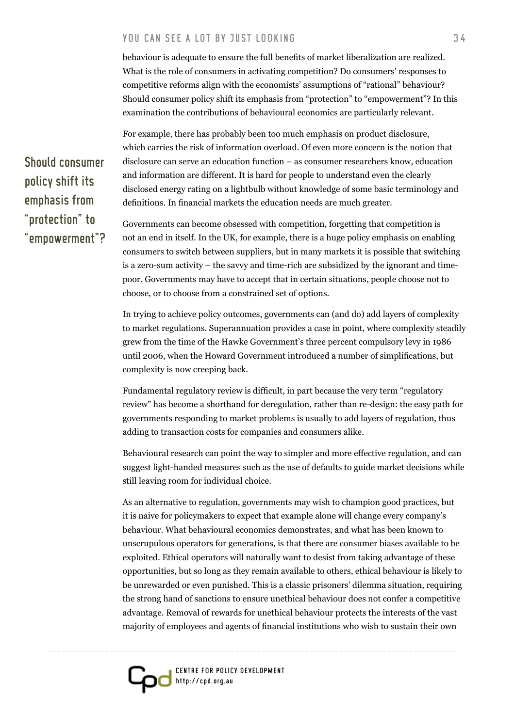behaviour is adequate to ensure the full benefits of market liberalization are realized. What is the role of consumers in activating competition? Do consumers' responses to competitive reforms align with the economists' assumptions of "rational" behaviour? Should consumer policy shift its emphasis from "protection" to "empowerment"? In this examination the contributions of behavioural economics are particularly relevant.

For example, there has probably been too much emphasis on product disclosure, which carries the risk of information overload. Of even more concern is the notion that disclosure can serve an education function – as consumer researchers know, education and information are different. It is hard for people to understand even the clearly disclosed energy rating on a lightbulb without knowledge of some basic terminology and definitions. In financial markets the education needs are much greater.

Governments can become obsessed with competition, forgetting that competition is not an end in itself. In the UK, for example, there is a huge policy emphasis on enabling consumers to switch between suppliers, but in many markets it is possible that switching is a zero-sum activity – the savvy and time-rich are subsidized by the ignorant and timepoor. Governments may have to accept that in certain situations, people choose not to choose, or to choose from a constrained set of options.

In trying to achieve policy outcomes, governments can (and do) add layers of complexity to market regulations. Superannuation provides a case in point, where complexity steadily grew from the time of the Hawke Government's three percent compulsory levy in 1986 until 2006, when the Howard Government introduced a number of simplifications, but complexity is now creeping back.

Fundamental regulatory review is difficult, in part because the very term "regulatory review" has become a shorthand for deregulation, rather than re-design: the easy path for governments responding to market problems is usually to add layers of regulation, thus adding to transaction costs for companies and consumers alike.

Behavioural research can point the way to simpler and more effective regulation, and can suggest light-handed measures such as the use of defaults to guide market decisions while still leaving room for individual choice.

As an alternative to regulation, governments may wish to champion good practices, but it is naive for policymakers to expect that example alone will change every company's behaviour. What behavioural economics demonstrates, and what has been known to unscrupulous operators for generations, is that there are consumer biases available to be exploited. Ethical operators will naturally want to desist from taking advantage of these opportunities, but so long as they remain available to others, ethical behaviour is likely to be unrewarded or even punished. This is a classic prisoners' dilemma situation, requiring the strong hand of sanctions to ensure unethical behaviour does not confer a competitive advantage. Removal of rewards for unethical behaviour protects the interests of the vast majority of employees and agents of financial institutions who wish to sustain their own



Should consumer policy shift its emphasis from "protection" to "empowerment"?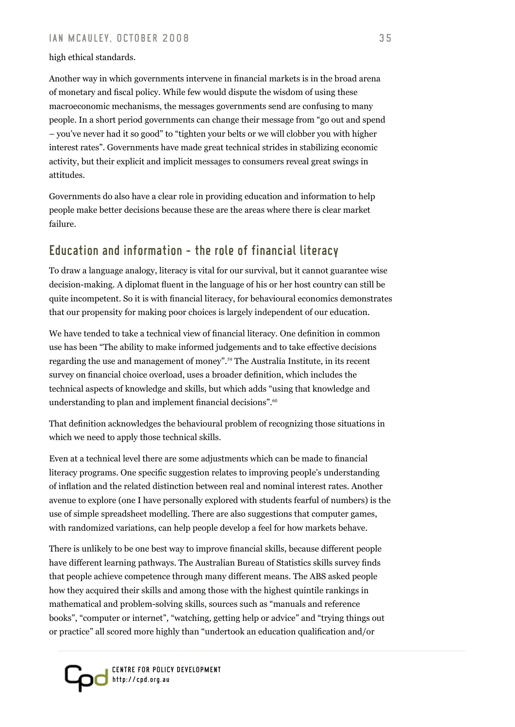#### high ethical standards.

Another way in which governments intervene in financial markets is in the broad arena of monetary and fiscal policy. While few would dispute the wisdom of using these macroeconomic mechanisms, the messages governments send are confusing to many people. In a short period governments can change their message from "go out and spend – you've never had it so good" to "tighten your belts or we will clobber you with higher interest rates". Governments have made great technical strides in stabilizing economic activity, but their explicit and implicit messages to consumers reveal great swings in attitudes.

Governments do also have a clear role in providing education and information to help people make better decisions because these are the areas where there is clear market failure.

# Education and information – the role of financial literacy

To draw a language analogy, literacy is vital for our survival, but it cannot guarantee wise decision-making. A diplomat fluent in the language of his or her host country can still be quite incompetent. So it is with financial literacy, for behavioural economics demonstrates that our propensity for making poor choices is largely independent of our education.

We have tended to take a technical view of financial literacy. One definition in common use has been "The ability to make informed judgements and to take effective decisions regarding the use and management of money".59 The Australia Institute, in its recent survey on financial choice overload, uses a broader definition, which includes the technical aspects of knowledge and skills, but which adds "using that knowledge and understanding to plan and implement financial decisions".<sup>60</sup>

That definition acknowledges the behavioural problem of recognizing those situations in which we need to apply those technical skills.

Even at a technical level there are some adjustments which can be made to financial literacy programs. One specific suggestion relates to improving people's understanding of inflation and the related distinction between real and nominal interest rates. Another avenue to explore (one I have personally explored with students fearful of numbers) is the use of simple spreadsheet modelling. There are also suggestions that computer games, with randomized variations, can help people develop a feel for how markets behave.

There is unlikely to be one best way to improve financial skills, because different people have different learning pathways. The Australian Bureau of Statistics skills survey finds that people achieve competence through many different means. The ABS asked people how they acquired their skills and among those with the highest quintile rankings in mathematical and problem-solving skills, sources such as "manuals and reference books", "computer or internet", "watching, getting help or advice" and "trying things out or practice" all scored more highly than "undertook an education qualification and/or

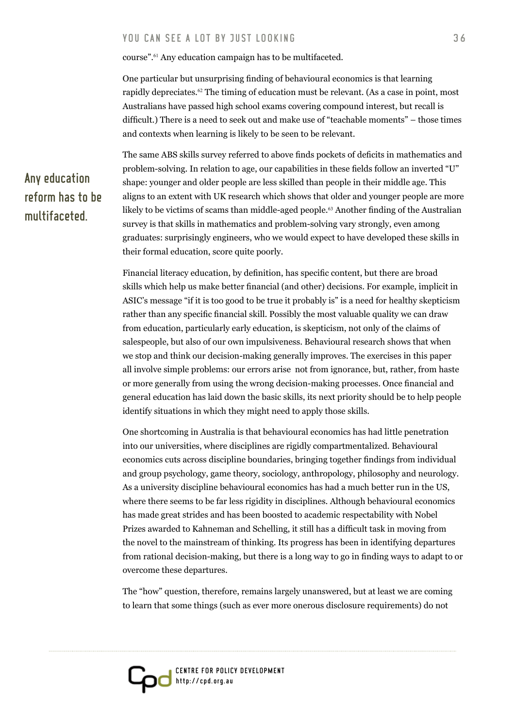course".61 Any education campaign has to be multifaceted.

One particular but unsurprising finding of behavioural economics is that learning rapidly depreciates.62 The timing of education must be relevant. (As a case in point, most Australians have passed high school exams covering compound interest, but recall is difficult.) There is a need to seek out and make use of "teachable moments" – those times and contexts when learning is likely to be seen to be relevant.

Any education reform has to be multifaceted.

The same ABS skills survey referred to above finds pockets of deficits in mathematics and problem-solving. In relation to age, our capabilities in these fields follow an inverted "U" shape: younger and older people are less skilled than people in their middle age. This aligns to an extent with UK research which shows that older and younger people are more likely to be victims of scams than middle-aged people.<sup>63</sup> Another finding of the Australian survey is that skills in mathematics and problem-solving vary strongly, even among graduates: surprisingly engineers, who we would expect to have developed these skills in their formal education, score quite poorly.

Financial literacy education, by definition, has specific content, but there are broad skills which help us make better financial (and other) decisions. For example, implicit in ASIC's message "if it is too good to be true it probably is" is a need for healthy skepticism rather than any specific financial skill. Possibly the most valuable quality we can draw from education, particularly early education, is skepticism, not only of the claims of salespeople, but also of our own impulsiveness. Behavioural research shows that when we stop and think our decision-making generally improves. The exercises in this paper all involve simple problems: our errors arise not from ignorance, but, rather, from haste or more generally from using the wrong decision-making processes. Once financial and general education has laid down the basic skills, its next priority should be to help people identify situations in which they might need to apply those skills.

One shortcoming in Australia is that behavioural economics has had little penetration into our universities, where disciplines are rigidly compartmentalized. Behavioural economics cuts across discipline boundaries, bringing together findings from individual and group psychology, game theory, sociology, anthropology, philosophy and neurology. As a university discipline behavioural economics has had a much better run in the US, where there seems to be far less rigidity in disciplines. Although behavioural economics has made great strides and has been boosted to academic respectability with Nobel Prizes awarded to Kahneman and Schelling, it still has a difficult task in moving from the novel to the mainstream of thinking. Its progress has been in identifying departures from rational decision-making, but there is a long way to go in finding ways to adapt to or overcome these departures.

The "how" question, therefore, remains largely unanswered, but at least we are coming to learn that some things (such as ever more onerous disclosure requirements) do not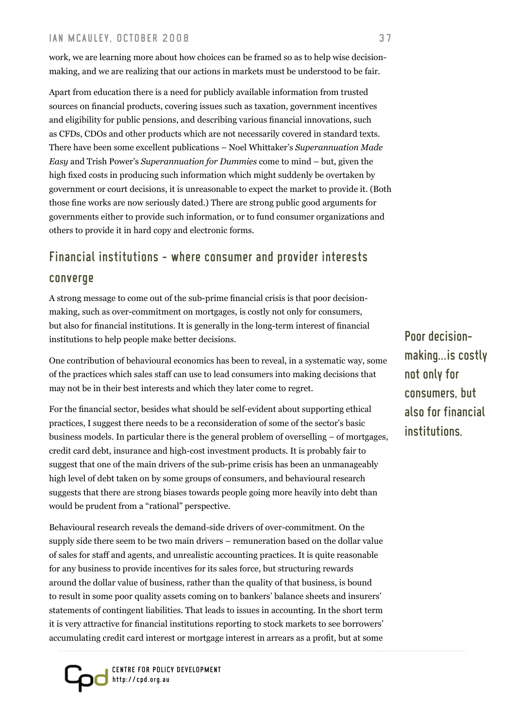work, we are learning more about how choices can be framed so as to help wise decisionmaking, and we are realizing that our actions in markets must be understood to be fair.

Apart from education there is a need for publicly available information from trusted sources on financial products, covering issues such as taxation, government incentives and eligibility for public pensions, and describing various financial innovations, such as CFDs, CDOs and other products which are not necessarily covered in standard texts. There have been some excellent publications – Noel Whittaker's *Superannuation Made Easy* and Trish Power's *Superannuation for Dummies* come to mind – but, given the high fixed costs in producing such information which might suddenly be overtaken by government or court decisions, it is unreasonable to expect the market to provide it. (Both those fine works are now seriously dated.) There are strong public good arguments for governments either to provide such information, or to fund consumer organizations and others to provide it in hard copy and electronic forms.

# Financial institutions – where consumer and provider interests converge

A strong message to come out of the sub-prime financial crisis is that poor decisionmaking, such as over-commitment on mortgages, is costly not only for consumers, but also for financial institutions. It is generally in the long-term interest of financial institutions to help people make better decisions.

One contribution of behavioural economics has been to reveal, in a systematic way, some of the practices which sales staff can use to lead consumers into making decisions that may not be in their best interests and which they later come to regret.

For the financial sector, besides what should be self-evident about supporting ethical practices, I suggest there needs to be a reconsideration of some of the sector's basic business models. In particular there is the general problem of overselling – of mortgages, credit card debt, insurance and high-cost investment products. It is probably fair to suggest that one of the main drivers of the sub-prime crisis has been an unmanageably high level of debt taken on by some groups of consumers, and behavioural research suggests that there are strong biases towards people going more heavily into debt than would be prudent from a "rational" perspective.

Behavioural research reveals the demand-side drivers of over-commitment. On the supply side there seem to be two main drivers – remuneration based on the dollar value of sales for staff and agents, and unrealistic accounting practices. It is quite reasonable for any business to provide incentives for its sales force, but structuring rewards around the dollar value of business, rather than the quality of that business, is bound to result in some poor quality assets coming on to bankers' balance sheets and insurers' statements of contingent liabilities. That leads to issues in accounting. In the short term it is very attractive for financial institutions reporting to stock markets to see borrowers' accumulating credit card interest or mortgage interest in arrears as a profit, but at some



Poor decisionmaking...is costly not only for consumers, but also for financial institutions.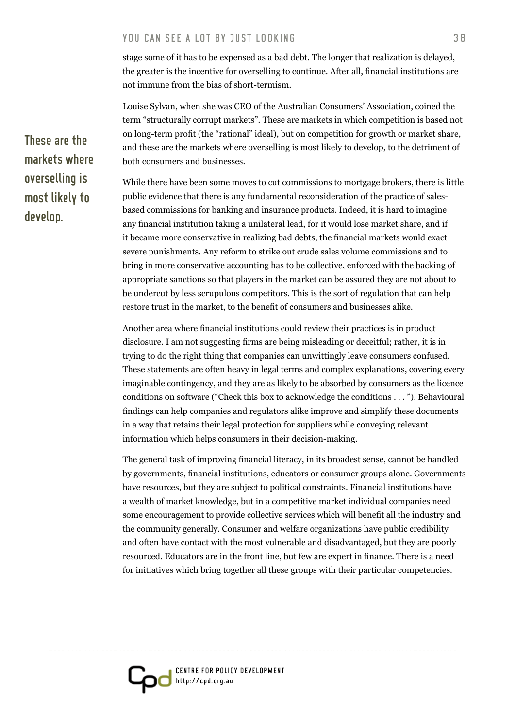stage some of it has to be expensed as a bad debt. The longer that realization is delayed, the greater is the incentive for overselling to continue. After all, financial institutions are not immune from the bias of short-termism.

Louise Sylvan, when she was CEO of the Australian Consumers' Association, coined the term "structurally corrupt markets". These are markets in which competition is based not on long-term profit (the "rational" ideal), but on competition for growth or market share, and these are the markets where overselling is most likely to develop, to the detriment of both consumers and businesses.

While there have been some moves to cut commissions to mortgage brokers, there is little public evidence that there is any fundamental reconsideration of the practice of salesbased commissions for banking and insurance products. Indeed, it is hard to imagine any financial institution taking a unilateral lead, for it would lose market share, and if it became more conservative in realizing bad debts, the financial markets would exact severe punishments. Any reform to strike out crude sales volume commissions and to bring in more conservative accounting has to be collective, enforced with the backing of appropriate sanctions so that players in the market can be assured they are not about to be undercut by less scrupulous competitors. This is the sort of regulation that can help restore trust in the market, to the benefit of consumers and businesses alike.

Another area where financial institutions could review their practices is in product disclosure. I am not suggesting firms are being misleading or deceitful; rather, it is in trying to do the right thing that companies can unwittingly leave consumers confused. These statements are often heavy in legal terms and complex explanations, covering every imaginable contingency, and they are as likely to be absorbed by consumers as the licence conditions on software ("Check this box to acknowledge the conditions . . . "). Behavioural findings can help companies and regulators alike improve and simplify these documents in a way that retains their legal protection for suppliers while conveying relevant information which helps consumers in their decision-making.

The general task of improving financial literacy, in its broadest sense, cannot be handled by governments, financial institutions, educators or consumer groups alone. Governments have resources, but they are subject to political constraints. Financial institutions have a wealth of market knowledge, but in a competitive market individual companies need some encouragement to provide collective services which will benefit all the industry and the community generally. Consumer and welfare organizations have public credibility and often have contact with the most vulnerable and disadvantaged, but they are poorly resourced. Educators are in the front line, but few are expert in finance. There is a need for initiatives which bring together all these groups with their particular competencies.

These are the markets where overselling is most likely to develop.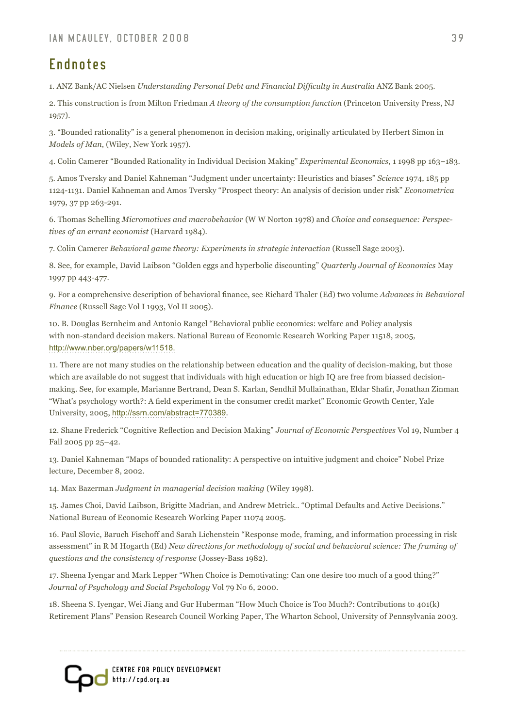# Endnotes

1. ANZ Bank/AC Nielsen *Understanding Personal Debt and Financial Difficulty in Australia* ANZ Bank 2005.

2. This construction is from Milton Friedman *A theory of the consumption function* (Princeton University Press, NJ 1957).

3. "Bounded rationality" is a general phenomenon in decision making, originally articulated by Herbert Simon in *Models of Man*, (Wiley, New York 1957).

4. Colin Camerer "Bounded Rationality in Individual Decision Making" *Experimental Economics*, 1 1998 pp 163–183.

5. Amos Tversky and Daniel Kahneman "Judgment under uncertainty: Heuristics and biases" *Science* 1974, 185 pp 1124-1131. Daniel Kahneman and Amos Tversky "Prospect theory: An analysis of decision under risk" *Econometrica* 1979, 37 pp 263-291.

6. Thomas Schelling *Micromotives and macrobehavior* (W W Norton 1978) and *Choice and consequence: Perspectives of an errant economist* (Harvard 1984).

7. Colin Camerer *Behavioral game theory: Experiments in strategic interaction* (Russell Sage 2003).

8. See, for example, David Laibson "Golden eggs and hyperbolic discounting" *Quarterly Journal of Economics* May 1997 pp 443-477.

9. For a comprehensive description of behavioral finance, see Richard Thaler (Ed) two volume *Advances in Behavioral Finance* (Russell Sage Vol I 1993, Vol II 2005).

10. B. Douglas Bernheim and Antonio Rangel "Behavioral public economics: welfare and Policy analysis with non-standard decision makers. National Bureau of Economic Research Working Paper 11518, 2005, <http://www.nber.org/papers/w11518>.

11. There are not many studies on the relationship between education and the quality of decision-making, but those which are available do not suggest that individuals with high education or high IQ are free from biassed decisionmaking. See, for example, Marianne Bertrand, Dean S. Karlan, Sendhil Mullainathan, Eldar Shafir, Jonathan Zinman "What's psychology worth?: A field experiment in the consumer credit market" Economic Growth Center, Yale University, 2005, <http://ssrn.com/abstract=770389>.

12. Shane Frederick "Cognitive Reflection and Decision Making" *Journal of Economic Perspectives* Vol 19, Number 4 Fall 2005 pp 25–42.

13. Daniel Kahneman "Maps of bounded rationality: A perspective on intuitive judgment and choice" Nobel Prize lecture, December 8, 2002.

14. Max Bazerman *Judgment in managerial decision making* (Wiley 1998).

15. James Choi, David Laibson, Brigitte Madrian, and Andrew Metrick.. "Optimal Defaults and Active Decisions." National Bureau of Economic Research Working Paper 11074 2005.

16. Paul Slovic, Baruch Fischoff and Sarah Lichenstein "Response mode, framing, and information processing in risk assessment" in R M Hogarth (Ed) *New directions for methodology of social and behavioral science: The framing of questions and the consistency of response* (Jossey-Bass 1982).

17. Sheena Iyengar and Mark Lepper "When Choice is Demotivating: Can one desire too much of a good thing?" *Journal of Psychology and Social Psychology* Vol 79 No 6, 2000.

18. Sheena S. Iyengar, Wei Jiang and Gur Huberman "How Much Choice is Too Much?: Contributions to 401(k) Retirement Plans" Pension Research Council Working Paper, The Wharton School, University of Pennsylvania 2003.

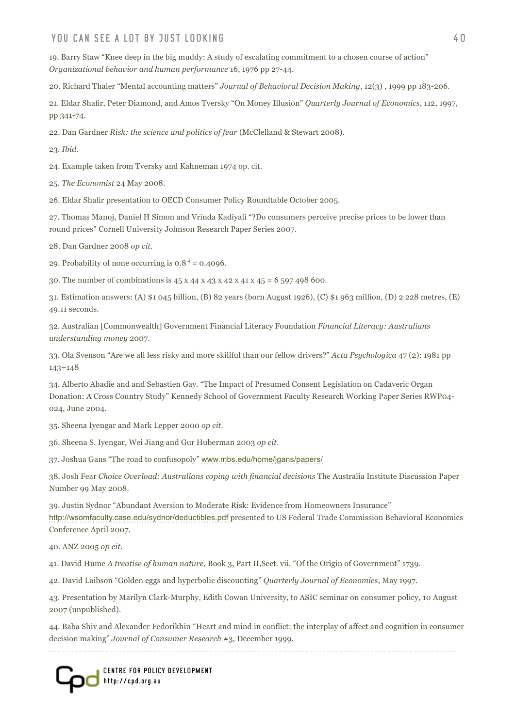#### YOU CAN SEE A LOT BY JUST LOOKING A MARKET AND THE SERVICE A LOT A VIOLENCE AND A LOT A VIOLENCE AND A LOT AND

19. Barry Staw "Knee deep in the big muddy: A study of escalating commitment to a chosen course of action" *Organizational behavior and human performance* 16, 1976 pp 27-44.

20. Richard Thaler "Mental accounting matters" *Journal of Behavioral Decision Making*, 12(3) , 1999 pp 183-206.

21. Eldar Shafir, Peter Diamond, and Amos Tversky "On Money Illusion" *Quarterly Journal of Economics*, 112, 1997, pp 341-74.

22. Dan Gardner *Risk: the science and politics of fear* (McClelland & Stewart 2008).

23*. Ibid.*

24. Example taken from Tversky and Kahneman 1974 op. cit.

25. *The Economist* 24 May 2008.

26. Eldar Shafir presentation to OECD Consumer Policy Roundtable October 2005.

27. Thomas Manoj, Daniel H Simon and Vrinda Kadiyali "?Do consumers perceive precise prices to be lower than round prices" Cornell University Johnson Research Paper Series 2007.

28. Dan Gardner 2008 *op cit*.

29. Probability of none occurring is  $0.8^4$  = 0.4096.

30. The number of combinations is 45 x 44 x 43 x 42 x 41 x 45 = 6 597 498 600.

31. Estimation answers: (A) \$1 045 billion, (B) 82 years (born August 1926), (C) \$1 963 million, (D) 2 228 metres, (E) 49.11 seconds.

32. Australian [Commonwealth] Government Financial Literacy Foundation *Financial Literacy: Australians understanding money* 2007.

33. Ola Svenson "Are we all less risky and more skillful than our fellow drivers?" *Acta Psychologica* 47 (2): 1981 pp 143–148

34. Alberto Abadie and and Sebastien Gay. "The Impact of Presumed Consent Legislation on Cadaveric Organ Donation: A Cross Country Study" Kennedy School of Government Faculty Research Working Paper Series RWP04- 024, June 2004.

35. Sheena Iyengar and Mark Lepper 2000 *op cit*.

36. Sheena S. Iyengar, Wei Jiang and Gur Huberman 2003 *op cit*.

37. Joshua Gans "The road to confusopoly" <www.mbs.edu/home/jgans/papers/>

38. Josh Fear *Choice Overload: Australians coping with financial decisions* The Australia Institute Discussion Paper Number 99 May 2008.

39. Justin Sydnor "Abundant Aversion to Moderate Risk: Evidence from Homeowners Insurance" <http://wsomfaculty.case.edu/sydnor/deductibles.pdf> presented to US Federal Trade Commission Behavioral Economics Conference April 2007.

40. ANZ 2005 *op cit*.

41. David Hume *A treatise of human nature*, Book 3, Part II,Sect. vii. "Of the Origin of Government" 1739.

42. David Laibson "Golden eggs and hyperbolic discounting" *Quarterly Journal of Economics*, May 1997.

43. Presentation by Marilyn Clark-Murphy, Edith Cowan University, to ASIC seminar on consumer policy, 10 August 2007 (unpublished).

44. Baba Shiv and Alexander Fedorikhin "Heart and mind in conflict: the interplay of affect and cognition in consumer decision making" *Journal of Consumer Research* #3, December 1999.

Centre For Policy Development http://cpd.org.au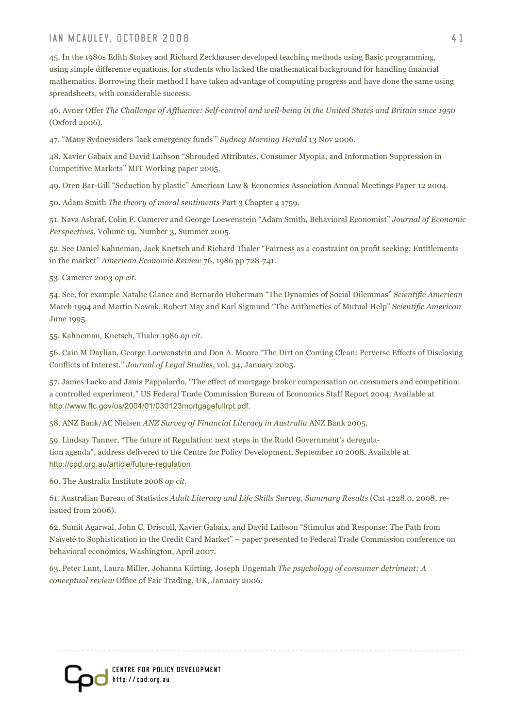#### IAN MCAULEY. OCTOBER 2008 41

45. In the 1980s Edith Stokey and Richard Zeckhauser developed teaching methods using Basic programming, using simple difference equations, for students who lacked the mathematical background for handling financial mathematics. Borrowing their method I have taken advantage of computing progress and have done the same using spreadsheets, with considerable success.

46. Avner Offer *The Challenge of Affluence: Self-control and well-being in the United States and Britain since 1950* (Oxford 2006).

47. "Many Sydneysiders 'lack emergency funds'" *Sydney Morning Herald* 13 Nov 2006.

48. Xavier Gabaix and David Laibson "Shrouded Attributes, Consumer Myopia, and Information Suppression in Competitive Markets" MIT Working paper 2005.

49. Oren Bar-Gill "Seduction by plastic" American Law & Economics Association Annual Meetings Paper 12 2004.

50. Adam Smith *The theory of moral sentiments* Part 3 Chapter 4 1759.

51. Nava Ashraf, Colin F. Camerer and George Loewenstein "Adam Smith, Behavioral Economist" *Journal of Economic Perspectives*, Volume 19, Number 3, Summer 2005.

52. See Daniel Kahneman, Jack Knetsch and Richard Thaler "Fairness as a constraint on profit seeking: Entitlements in the market" *American Economic Review* 76, 1986 pp 728-741.

53. Camerer 2003 *op cit.*

54. See, for example Natalie Glance and Bernardo Huberman "The Dynamics of Social Dilemmas" *Scientific American*  March 1994 and Martin Nowak, Robert May and Karl Sigmund "The Arithmetics of Mutual Help" *Scientific American* June 1995.

55. Kahneman, Knetsch, Thaler 1986 *op cit*.

56. Cain M Daylian, George Loewenstein and Don A. Moore "The Dirt on Coming Clean: Perverse Effects of Disclosing Conflicts of Interest." *Journal of Legal Studies*, vol. 34, January 2005.

57. James Lacko and Janis Pappalardo, "The effect of mortgage broker compensation on consumers and competition: a controlled experiment," US Federal Trade Commission Bureau of Economics Staff Report 2004. Available at <http://www.ftc.gov/os/2004/01/030123mortgagefullrpt.pdf>.

58. ANZ Bank/AC Nielsen *ANZ Survey of Financial Literacy in Australia* ANZ Bank 2005.

59. Lindsay Tanner, "The future of Regulation: next steps in the Rudd Government's deregulation agenda", address delivered to the Centre for Policy Development, September 10 2008. Available at <http://cpd.org.au/article/future-regulation>

60. The Australia Institute 2008 *op cit.*

61. Australian Bureau of Statistics *Adult Literacy and Life Skills Survey, Summary Results* (Cat 4228.0, 2008, reissued from 2006).

62. Sumit Agarwal, John C. Driscoll, Xavier Gabaix, and David Laibson "Stimulus and Response: The Path from Naïveté to Sophistication in the Credit Card Market" – paper presented to Federal Trade Commission conference on behavioral economics, Washington, April 2007.

63. Peter Lunt, Laura Miller, Johanna Körting, Joseph Ungemah *The psychology of consumer detriment: A conceptual review* Office of Fair Trading, UK, January 2006.

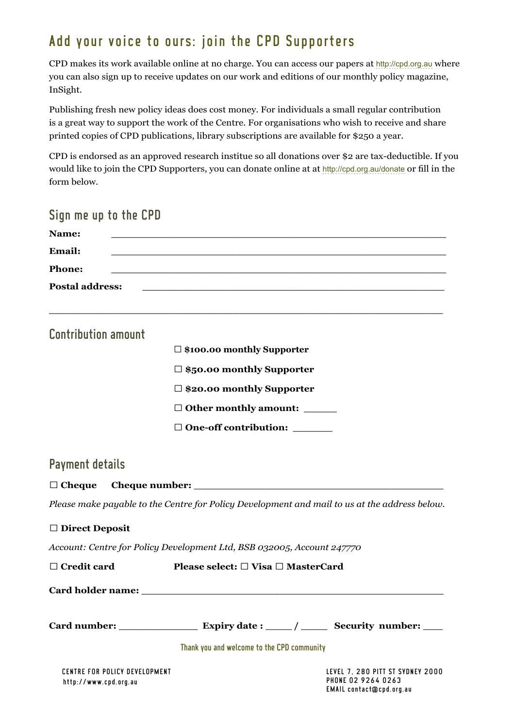# Add your voice to ours: join the CPD Supporters

CPD makes its work available online at no charge. You can access our papers at <http://cpd.org.au> where you can also sign up to receive updates on our work and editions of our monthly policy magazine, InSight.

Publishing fresh new policy ideas does cost money. For individuals a small regular contribution is a great way to support the work of the Centre. For organisations who wish to receive and share printed copies of CPD publications, library subscriptions are available for \$250 a year.

CPD is endorsed as an approved research institue so all donations over \$2 are tax-deductible. If you would like to join the CPD Supporters, you can donate online at at <http://cpd.org.au/donate> or fill in the form below.

| Sign me up to the CPD                                  |                                                                                                                       |                                                                                    |
|--------------------------------------------------------|-----------------------------------------------------------------------------------------------------------------------|------------------------------------------------------------------------------------|
| Name:                                                  | <u> 1989 - Johann John Stone, mars eta bainar eta baina eta baina eta baina eta baina eta baina eta baina eta ba</u>  |                                                                                    |
| Email:                                                 | <u> 1989 - Johann John Stoff, deutscher Stoffen und der Stoffen und der Stoffen und der Stoffen und der Stoffen u</u> |                                                                                    |
| <b>Phone:</b>                                          | <u> 1999 - Jan James James James James James James James James James James James James James James James James J</u>  |                                                                                    |
| <b>Postal address:</b>                                 | <u> 1989 - Johann John Stone, Amerikaansk politiker († 1908)</u>                                                      |                                                                                    |
|                                                        |                                                                                                                       |                                                                                    |
| <b>Contribution amount</b>                             |                                                                                                                       |                                                                                    |
|                                                        | $\Box$ \$100.00 monthly Supporter                                                                                     |                                                                                    |
|                                                        | $\Box$ \$50.00 monthly Supporter                                                                                      |                                                                                    |
|                                                        | □ \$20.00 monthly Supporter                                                                                           |                                                                                    |
|                                                        | $\Box$ Other monthly amount: ______                                                                                   |                                                                                    |
|                                                        | $\Box$ One-off contribution: ______                                                                                   |                                                                                    |
| <b>Payment details</b>                                 |                                                                                                                       |                                                                                    |
| $\Box$ Cheque                                          |                                                                                                                       |                                                                                    |
|                                                        | Please make payable to the Centre for Policy Development and mail to us at the address below.                         |                                                                                    |
| $\Box$ Direct Deposit                                  |                                                                                                                       |                                                                                    |
|                                                        | Account: Centre for Policy Development Ltd, BSB 032005, Account 247770                                                |                                                                                    |
| $\Box$ Credit card                                     | Please select: $\Box$ Visa $\Box$ MasterCard                                                                          |                                                                                    |
| Card holder name:                                      |                                                                                                                       |                                                                                    |
|                                                        |                                                                                                                       |                                                                                    |
|                                                        | Thank you and welcome to the CPD community                                                                            |                                                                                    |
|                                                        |                                                                                                                       |                                                                                    |
| CENTRE FOR POLICY DEVELOPMENT<br>http://www.cpd.org.au |                                                                                                                       | LEVEL 7. 280 PITT ST SYDNEY 2000<br>PHONE 02 9264 0263<br>EMAIL contact@cpd.org.au |